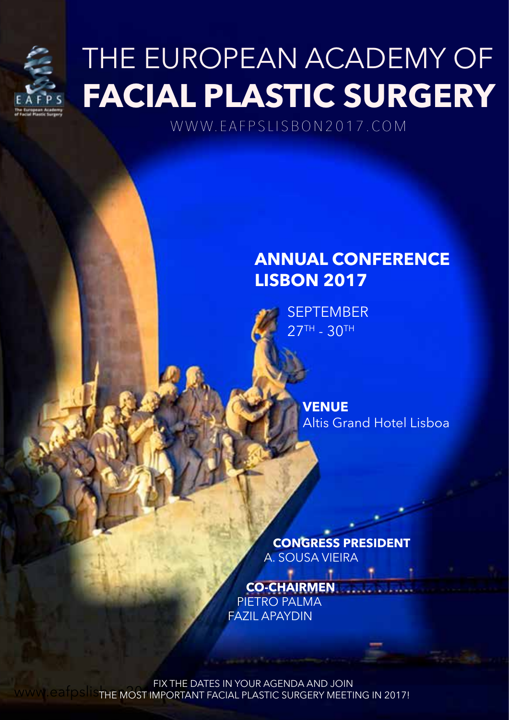

# THE EUROPEAN ACADEMY OF **FACIAL PLASTIC SURGERY**

WWW.EAFPSLISBON2017.COM

## **ANNUAL CONFERENCE LISBON 2017**

**SEPTEMBER 27TH - 30TH** 

> **VENUE** Altis Grand Hotel Lisboa

 **CONGRESS PRESIDENT** A. SOUSA VIEIRA

 **CO-CHAIRMEN** PIETRO PALMA FAZIL APAYDIN

FIX THE DATES IN YOUR AGENDA AND JOIN WWW.eafpslister MOST IMPORTANT FACIAL PLASTIC SURGERY MEETING IN 2017!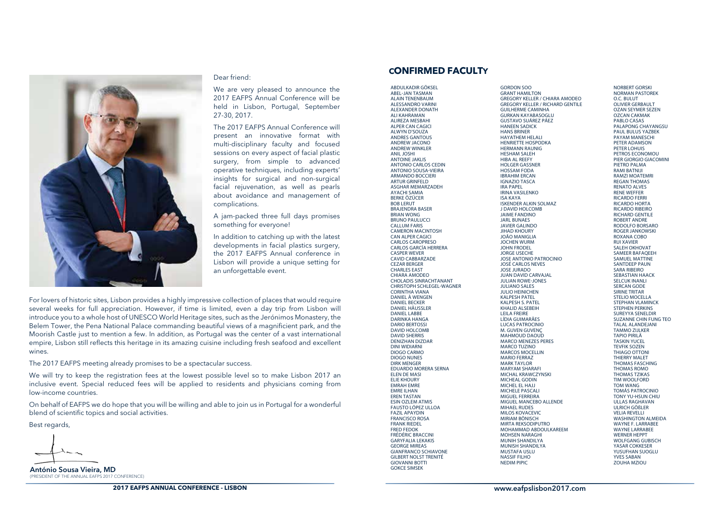

#### Dear friend:

We are very pleased to announce the 2017 EAFPS Annual Conference will be held in Lisbon, Portugal, September 27-30, 2017.

The 2017 EAFPS Annual Conference will present an innovative format with multi-disciplinary faculty and focused sessions on every aspect of facial plastic surgery, from simple to advanced operative techniques, including experts' insights for surgical and non-surgical facial rejuvenation, as well as pearls about avoidance and management of complications.

A jam-packed three full days promises something for everyone!

In addition to catching up with the latest developments in facial plastics surgery, the 2017 EAFPS Annual conference in Lisbon will provide a unique setting for an unforgettable event.

For lovers of historic sites, Lisbon provides a highly impressive collection of places that would require several weeks for full appreciation. However, if time is limited, even a day trip from Lisbon will introduce you to a whole host of UNESCO World Heritage sites, such as the Jerónimos Monastery, the Belem Tower, the Pena National Palace commanding beautiful views of a magnificient park, and the Moorish Castle just to mention a few. In addition, as Portugal was the center of a vast international empire, Lisbon still reflects this heritage in its amazing cuisine including fresh seafood and excellent wines.

The 2017 EAFPS meeting already promises to be a spectacular success.

We will try to keep the registration fees at the lowest possible level so to make Lisbon 2017 an inclusive event. Special reduced fees will be applied to residents and physicians coming from low-income countries.

On behalf of EAFPS we do hope that you will be willing and able to join us in Portugal for a wonderful blend of scientific topics and social activities.

Best regards,

António Sousa Vieira, MD (PRESIDENT OF THE ANNUAL EAFPS 2017 CONFERENCE)

### **CONFIRMED FACULTY**

ABDULKADIR GÖKSEL ABEL-JAN TASMAN ALAIN TENENBAUM ALESSANDRO VARINI ALEXANDER DONATH ALI KAHRAMAN ALIREZA MESBAHI ALPER CAN CAGICI ALWYN D'SOUZA ANDRES GANTOUS ANDREW JACONO **ANDREW WINKLER** ANIL JOSHI ANTOINE JAKLIS ANTONIO CARLOS CEDIN ANTONIO SOUSA-VIEIRA ARMANDO BOCCIERI ARTUR GRINFELD ASGHAR MEMARZADEH AYACHI SAMIA BERKE ÖZÜCER BOB LERUT BRAJENDRA BASER BRIAN WONG BRUNO PAULUCCI CALLUM FARIS CAMERON MACINTOSH CAN ALPER CAGICI CARLOS CAROPRESO CARLOS GARCÍA HERRERA CASPER WEVER CAVID CABBARZADE CEZAR BERGER CHARLES EAST CHIARA AMODEO CHOLADIS SINRACHTANANT CHRISTOPH SCHLEGEL-WAGNER CORINTHA VIANA DANIEL À WENGEN DANIEL BECKER DANIEL HÄUSSLER DANIEL LABBE DARINKA HANGA DARIO BERTOSSI DAVID HOLCOMB DAVID SHERRIS DENIZHAN DIZDAR DINI WIDIARNI DIOGO CARMO DIOGO NUNES DIRK MENGER EDUARDO MORERA SERNA ELEN DE MASI ELIE KHOURY EMRAH EMRE EMRE ILHAN EREN TASTAN ESIN OZLEM ATMIS FAUSTO LÓPEZ ULLOA FAZIL APAYDIN FRANCISCO ROSA FRANK RIEDEL FRED FEDOK FRÉDÉRIC BRACCINI GARYFALIA LEKAKIS GEORGE MIREAS GIANFRANCO SCHIAVONE GILBERT NOLST TRENITÉ GIOVANNI BOTTI GOKCE SIMSEK

GORDON SOO GRANT HAMILTON GREGORY KELLER / CHIARA AMODEO GREGORY KELLER / RICHARD GENTILE GUILHERME CAMINHA GURKAN KAYABASOGLU GUSTAVO SUÁREZ PÁEZ HANEEN SADICK HANS BRINER HAYATHEM HELALI HENRIETTE HOSPODKA HERMANN RAUNIG HESHAM SALEH HIBA AL REEFY HOLGER GASSNER HOSSAM FODA IBRAHIM ERCAN IGNAZIO TASCA IRA PAPEL IRINA VASILENKO ISA KAYA ISKENDER ALKIN SOLMAZ J DAVID HOLCOMB JAIME FANDINO JARL BUNAES JAVIER GALINDO **JIHAD KHOURY** JOÃO MANIGLIA JOCHEN WURM JOHN FRODEL JORGE USECHE JOSE ANTONIO PATROCINIO JOSÉ CARLOS NEVES JOSE JURADO JUAN DAVID CARVAJAL JULIAN ROWE-JONES JULIANO SALES JULIO HEINICHEN KALPESH PATEL KALPESH S. PATEL KHALID ALSEBEIH LEILA FREIRE LÍDIA GUIMARÃES LUCAS PATROCINIO M. GUVEN GUVENÇ MAHMOUD DAOUD MARCO MENEZES PERES MARCO TUZINO MARCOS MOCELLIN MARIO FERRAZ MARK TAYLOR MARYAM SHARAFI MICHAL KRAWCZYNSKI MICHEAL GODIN MICHEL EL HAJJ MICHELE PASCALI MIGUEL FERREIRA MIGUEL MANCEBO ALLENDE MIHAEL RUDES MILOS KOVACEVIC MIRIAM BÖNISCH MIRTA REKSODIPUTRO MOHAMMAD ABDOULKAREEM MOHSEN NARAGHI MUNIH SHANDILYA MUNISH SHANDILYA MUSTAFA USLU NASSIF FILHO NEDIM PIPIC

NORBERT GORSKI NORMAN PASTOREK O.C. BULUT OLIVIER GERBAULT OZAN SEYMER SEZEN OZCAN CAKMAK PABLO CASAS PALAPONG CHAYANGSU PAUL BULUS YAZBEK PAYAM MANESCHI PETER ADAMSON PETER LOHUIS PETROS ECONOMOU PIER GIORGIO GIACOMINI PIFTRO PALMA RAMI BATNIJI RAMZI MOATEMRI REGAN THOMAS RENATO ALVES RENE WEFFER RICARDO FERRI RICARDO HORTA RICARDO RIBEIRO RICHARD GENTILE ROBERT ANDRE RODOLFO BORSARO ROGER JANKOWSKI ROXANA COBO RUI XAVIER SALEH OKHOVAT SAMEER BAFAQEEH SAMUEL MATTINE SANTDEEP PAUN SARA RIBEIRO SEBASTIAN HAACK SELCUK INANLI SERCAN GODE SIRINE TRITAR STELIO MOCELLA STEPHAN VI AMINCK STEPHEN PERKINS SUREYYA SENELDIR SUZANNE CHIN FUNG TEO TALAL ALANDEJANI TAMMO ZIJLKER TAPIO PIRILÄ TASKIN YUCEL TEVFIK SOZEN THIAGO OTTONI THIERRY MALET THOMAS FASCHING THOMAS ROMO THOMAS TZIKAS TIM WOOLFORD TOM WANG TOMÁS PATROCINIO TONY YU-HSUN CHIU ULLAS RAGHAVAN ULRICH GÖßLER VELIA REVELLI WASHINGTON ALMEIDA WAYNE F. LARRABEE WAYNE LARRAREE WERNER HEPPT WOLFGANG GUBISCH YASAR COKKESER YUSUEHAN SUOGLU YVES SABAN ZOUHA MZIOU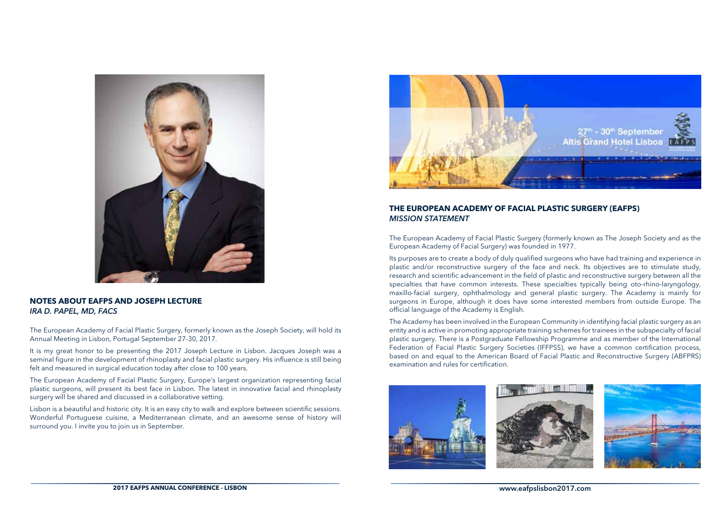

### **NOTES ABOUT EAFPS AND JOSEPH LECTURE** *IRA D. PAPEL, MD, FACS*

The European Academy of Facial Plastic Surgery, formerly known as the Joseph Society, will hold its Annual Meeting in Lisbon, Portugal September 27-30, 2017.

It is my great honor to be presenting the 2017 Joseph Lecture in Lisbon. Jacques Joseph was a seminal figure in the development of rhinoplasty and facial plastic surgery. His influence is still being felt and measured in surgical education today after close to 100 years.

The European Academy of Facial Plastic Surgery, Europe's largest organization representing facial plastic surgeons, will present its best face in Lisbon. The latest in innovative facial and rhinoplasty surgery will be shared and discussed in a collaborative setting.

Lisbon is a beautiful and historic city. It is an easy city to walk and explore between scientific sessions. Wonderful Portuguese cuisine, a Mediterranean climate, and an awesome sense of history will surround you. I invite you to join us in September.



### **THE EUROPEAN ACADEMY OF FACIAL PLASTIC SURGERY (EAFPS)** *MISSION STATEMENT*

The European Academy of Facial Plastic Surgery (formerly known as The Joseph Society and as the European Academy of Facial Surgery) was founded in 1977.

Its purposes are to create a body of duly qualified surgeons who have had training and experience in plastic and/or reconstructive surgery of the face and neck. Its objectives are to stimulate study, research and scientific advancement in the field of plastic and reconstructive surgery between all the specialties that have common interests. These specialties typically being oto-rhino-laryngology, maxillo-facial surgery, ophthalmology and general plastic surgery. The Academy is mainly for surgeons in Europe, although it does have some interested members from outside Europe. The official language of the Academy is English.

The Academy has been involved in the European Community in identifying facial plastic surgery as an entity and is active in promoting appropriate training schemes for trainees in the subspecialty of facial plastic surgery. There is a Postgraduate Fellowship Programme and as member of the International Federation of Facial Plastic Surgery Societies (IFFPSS), we have a common certification process, based on and equal to the American Board of Facial Plastic and Reconstructive Surgery (ABFPRS) examination and rules for certification.





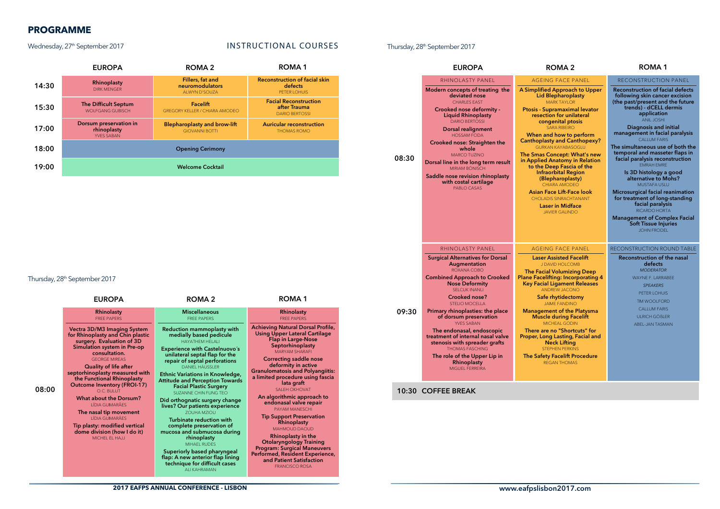## **PROGRAMME**

### Wednesday, 27<sup>th</sup> September 2017 **INSTRUCTIONAL COURSES**

#### EUROPA ROMA 2 ROMA 1 EUROPA ROMA 2 ROMA 1 14:30 17:00 15:30 18:00 19:00 Opening Cerimony Welcome Cocktail Rhinoplasty DIRK MENGER The Difficult Septum WOLFGANG GUBISCH Dorsum preservation in rhinoplasty YVES SABAN Blepharoplasty and brow-lift GIOVANNI BOTTI Auricular reconstruction THOMAS ROMO Facelift GREGORY KELLER / CHIARA AMODEO Facial Reconstruction after Trauma DARIO BERTOSSI Fillers, fat and neuromodulators ALWYN D'SOUZA Reconstruction of facial skin defects PETER LOHUIS

### Thursday, 28<sup>th</sup> September 2017

08:00

| <b>EUROPA</b>                                                                                                                                                                                                                                                                                                                                                                                                                                                                                                       | ROMA <sub>2</sub>                                                                                                                                                                                                                                                                                                                                                                                                                                                                                                                                                                                                                                                                              | ROMA <sub>1</sub>                                                                                                                                                                                                                                                                                                                                                                                                                                                                                                                                                                                                                                                                                |
|---------------------------------------------------------------------------------------------------------------------------------------------------------------------------------------------------------------------------------------------------------------------------------------------------------------------------------------------------------------------------------------------------------------------------------------------------------------------------------------------------------------------|------------------------------------------------------------------------------------------------------------------------------------------------------------------------------------------------------------------------------------------------------------------------------------------------------------------------------------------------------------------------------------------------------------------------------------------------------------------------------------------------------------------------------------------------------------------------------------------------------------------------------------------------------------------------------------------------|--------------------------------------------------------------------------------------------------------------------------------------------------------------------------------------------------------------------------------------------------------------------------------------------------------------------------------------------------------------------------------------------------------------------------------------------------------------------------------------------------------------------------------------------------------------------------------------------------------------------------------------------------------------------------------------------------|
| <b>Rhinolasty</b><br><b>FREE PAPERS</b>                                                                                                                                                                                                                                                                                                                                                                                                                                                                             | <b>Miscellaneous</b><br><b>FRFF PAPERS</b>                                                                                                                                                                                                                                                                                                                                                                                                                                                                                                                                                                                                                                                     | Rhinolasty<br><b>FRFF PAPERS</b>                                                                                                                                                                                                                                                                                                                                                                                                                                                                                                                                                                                                                                                                 |
| Vectra 3D/M3 Imaging System<br>for Rhinoplasty and Chin plastic<br>surgery. Evaluation of 3D<br>Simulation system in Pre-op<br>consultation.<br><b>GEORGE MIREAS</b><br>Quality of life after<br>septorhinoplasty measured with<br>the Functional Rhinoplasty<br><b>Outcome Inventory (FROI-17)</b><br>O.C. BUILUT<br><b>What about the Dorsum?</b><br><b>LÍDIA GUIMARÃES</b><br>The nasal tip movement<br><b>LÍDIA GUIMARÃES</b><br>Tip plasty: modified vertical<br>dome division (how I do it)<br>MICHEL EL HAJJ | Reduction mammoplasty with<br>medially based pedicule<br>HAYATHEM HELALL<br><b>Experience with Castelnuovo's</b><br>unilateral septal flap for the<br>repair of septal perforations<br>DANIEL HÄUSSLER<br><b>Ethnic Variations in Knowledge,</b><br><b>Attitude and Perception Towards</b><br><b>Facial Plastic Surgery</b><br>SUZANNE CHIN FUNG TEO<br>Did orthognatic surgery change<br>lives? Our patients experience<br><b>ZOUHA MZIOU</b><br>Turbinate reduction with<br>complete preservation of<br>mucosa and submucosa during<br>rhinoplasty<br>MIHAFI RUDES<br>Superiorly based pharyngeal<br>flap: A new anterior flap lining<br>technique for difficult cases<br><b>ALLKAHRAMAN</b> | <b>Achieving Natural Dorsal Profile,</b><br><b>Using Upper Lateral Cartilage</b><br><b>Flap in Large-Nose</b><br>Septorhinoplasty<br><b>MARYAM SHARAFI</b><br><b>Correcting saddle nose</b><br>deformity in active<br><b>Granulomatosis and Polyangiitis:</b><br>a limited procedure using fascia<br>lata graft<br><b>SAI FH OKHOVAT</b><br>An algorithmic approach to<br>endonasal valve repair<br><b>PAYAM MANESCHI</b><br><b>Tip Support Preservation</b><br>Rhinoplasty<br><b>MAHMOUD DAOUD</b><br><b>Rhinoplasty in the</b><br><b>Otolaryngology Training</b><br><b>Program: Surgical Maneuvers</b><br>Performed, Resident Experience,<br>and Patient Satisfaction<br><b>FRANCISCO ROSA</b> |

### Thursday, 28<sup>th</sup> September 2017

|       | <b>EUROPA</b>                                                                                                                                                                                                                                                                                                                                                                                                                                                                              | <b>ROMA 2</b>                                                                                                                                                                                                                                                                                                                                                                                                                                                                                                                                                                 | ROMA 1                                                                                                                                                                                                                                                                                                                                                                                                                                                                                                                                                                                                                                                                      |
|-------|--------------------------------------------------------------------------------------------------------------------------------------------------------------------------------------------------------------------------------------------------------------------------------------------------------------------------------------------------------------------------------------------------------------------------------------------------------------------------------------------|-------------------------------------------------------------------------------------------------------------------------------------------------------------------------------------------------------------------------------------------------------------------------------------------------------------------------------------------------------------------------------------------------------------------------------------------------------------------------------------------------------------------------------------------------------------------------------|-----------------------------------------------------------------------------------------------------------------------------------------------------------------------------------------------------------------------------------------------------------------------------------------------------------------------------------------------------------------------------------------------------------------------------------------------------------------------------------------------------------------------------------------------------------------------------------------------------------------------------------------------------------------------------|
|       | <b>RHINOLASTY PANEL</b>                                                                                                                                                                                                                                                                                                                                                                                                                                                                    | <b>AGEING FACE PANEL</b>                                                                                                                                                                                                                                                                                                                                                                                                                                                                                                                                                      | <b>RECONSTRUCTION PANEL</b>                                                                                                                                                                                                                                                                                                                                                                                                                                                                                                                                                                                                                                                 |
| 08:30 | Modern concepts of treating the<br>deviated nose<br><b>CHARLES EAST</b><br><b>Crooked nose deformity -</b><br><b>Liquid Rhinoplasty</b><br><b>DARIO BERTOSSI</b><br><b>Dorsal realignment</b><br><b>HOSSAM FODA</b><br>Crooked nose: Straighten the<br>whole<br><b>MARCO TUZINO</b><br>Dorsal line in the long term result<br><b>MIRIAM BÖNISCH</b><br>Saddle nose revision rhinoplasty<br>with costal cartilage<br>PABLO CASAS                                                            | A Simplified Approach to Upper<br>Lid Blepharoplasty<br><b>MARK TAYLOR</b><br><b>Ptosis - Supramaximal levator</b><br>resection for unilateral<br>congenital ptosis<br><b>SARA RIBEIRO</b><br>When and how to perform<br><b>Canthoplasty and Canthopexy?</b><br><b>GURKAN KAYABASOGLU</b><br>The Smas Concept: What's new<br>in Applied Anatomy in Relation<br>to the Deep Fascia of the<br><b>Infraorbital Region</b><br>(Blepharoplasty)<br>CHIARA AMODEO<br>Asian Face Lift-Face look<br><b>CHOLADIS SINRACHTANANT</b><br><b>Laser in Midface</b><br><b>JAVIER GALINDO</b> | <b>Reconstruction of facial defects</b><br>following skin cancer excision<br>(the past/present and the future<br>trends) - dCELL dermis<br>application<br><b>ANIL JOSHI</b><br>Diagnosis and initial<br>management in facial paralysis<br><b>CALLUM FARIS</b><br>The simultaneous use of both the<br>temporal and masseter flaps in<br>facial paralysis reconstruction<br><b>FMRAH FMRF</b><br>Is 3D histology a good<br>alternative to Mohs?<br><b>MUSTAFA USLU</b><br>Microsurgical facial reanimation<br>for treatment of long-standing<br>facial paralysis<br>RICARDO HORTA<br><b>Management of Complex Facial</b><br><b>Soft Tissue Injuries</b><br><b>JOHN FRODEL</b> |
|       | RHINOLASTY PANEL                                                                                                                                                                                                                                                                                                                                                                                                                                                                           | <b>AGEING FACE PANEL</b>                                                                                                                                                                                                                                                                                                                                                                                                                                                                                                                                                      | RECONSTRUCTION ROUND TABLE                                                                                                                                                                                                                                                                                                                                                                                                                                                                                                                                                                                                                                                  |
| 09:30 | <b>Surgical Alternatives for Dorsal</b><br>Augmentation<br>ROXANA COBO<br><b>Combined Approach to Crooked</b><br><b>Nose Deformity</b><br><b>SELCUK INANLI</b><br>Crooked nose?<br><b>STELIO MOCELLA</b><br>Primary rhinoplasties: the place<br>of dorsum preservation<br><b>YVES SABAN</b><br>The endonasal, endoscopic<br>treatment of internal nasal valve<br>stenosis with spreader grafts<br><b>THOMAS FASCHING</b><br>The role of the Upper Lip in<br>Rhinoplasty<br>MIGUEL FERREIRA | <b>Laser Assisted Facelift</b><br><b>J DAVID HOLCOMB</b><br><b>The Facial Volumizing Deep</b><br><b>Plane Facelifting: Incorporating 4</b><br>Key Facial Ligament Releases<br><b>ANDREW JACONO</b><br>Safe rhytidectomy<br><b>JAME FANDINO</b><br><b>Management of the Platysma</b><br><b>Muscle during Facelift</b><br><b>MICHEAL GODIN</b><br>There are no "Shortcuts" for<br>Proper, Long Lasting, Facial and<br><b>Neck Lifting</b><br><b>STEPHEN PERKINS</b><br><b>The Safety Facelift Procedure</b><br><b>REGAN THOMAS</b>                                              | <b>Reconstruction of the nasal</b><br>defects<br><b>MODERATOR</b><br>WAYNE F. LARRABEE<br><b>SPEAKERS</b><br>PETER LOHUIS<br><b>TM WOOLFORD</b><br><b>CALLUM FARIS</b><br><b>ULRICH GÖBLER</b><br>ABEL-JAN TASMAN                                                                                                                                                                                                                                                                                                                                                                                                                                                           |

### 10:30 COFFEE BREAK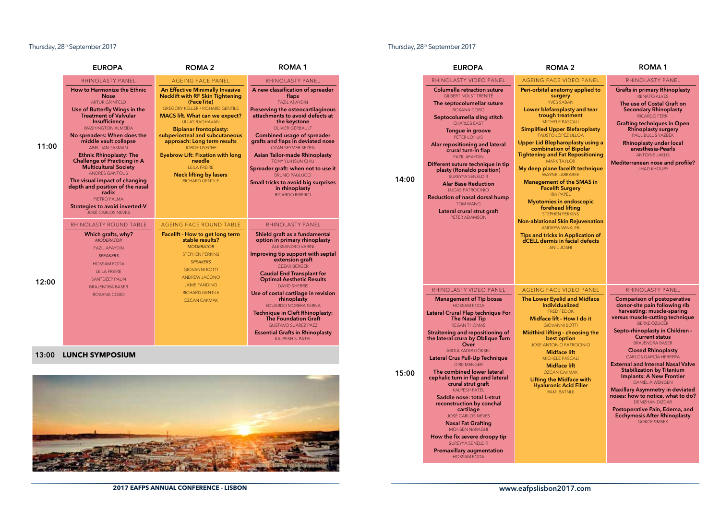### Thursday, 28<sup>th</sup> September 2017 **Thursday, 28<sup>th</sup>** September 2017

| EUROPA                                                                                                                                                                                                                                                                                                                                                                                                                                                                                                                                                                                                                               | ROMA <sub>2</sub>                                                                                                                                                                                                                                                                                                                                                                                                                                                                                                                                                                                                                                                 | ROMA <sub>1</sub>                                                                                                                                                                                                                                                                                                                                                                                                                                                                                                                                                                                                                                                                                                                                                           |       | <b>EUROPA</b>                                                                                                                                                                                                                                                                                                                                                                                                                                                                                                                                        | <b>ROMA 2</b>                                                                                                                                                                                                                                                                                                                                                                                                                                                                                                                                                                                                                                                                                                                               | <b>ROMA1</b>                                                                                                                                                                                                                                                                                                                                                                                             |
|--------------------------------------------------------------------------------------------------------------------------------------------------------------------------------------------------------------------------------------------------------------------------------------------------------------------------------------------------------------------------------------------------------------------------------------------------------------------------------------------------------------------------------------------------------------------------------------------------------------------------------------|-------------------------------------------------------------------------------------------------------------------------------------------------------------------------------------------------------------------------------------------------------------------------------------------------------------------------------------------------------------------------------------------------------------------------------------------------------------------------------------------------------------------------------------------------------------------------------------------------------------------------------------------------------------------|-----------------------------------------------------------------------------------------------------------------------------------------------------------------------------------------------------------------------------------------------------------------------------------------------------------------------------------------------------------------------------------------------------------------------------------------------------------------------------------------------------------------------------------------------------------------------------------------------------------------------------------------------------------------------------------------------------------------------------------------------------------------------------|-------|------------------------------------------------------------------------------------------------------------------------------------------------------------------------------------------------------------------------------------------------------------------------------------------------------------------------------------------------------------------------------------------------------------------------------------------------------------------------------------------------------------------------------------------------------|---------------------------------------------------------------------------------------------------------------------------------------------------------------------------------------------------------------------------------------------------------------------------------------------------------------------------------------------------------------------------------------------------------------------------------------------------------------------------------------------------------------------------------------------------------------------------------------------------------------------------------------------------------------------------------------------------------------------------------------------|----------------------------------------------------------------------------------------------------------------------------------------------------------------------------------------------------------------------------------------------------------------------------------------------------------------------------------------------------------------------------------------------------------|
| <b>JOLASTY PANEL</b>                                                                                                                                                                                                                                                                                                                                                                                                                                                                                                                                                                                                                 | <b>AGEING FACE PANEL</b>                                                                                                                                                                                                                                                                                                                                                                                                                                                                                                                                                                                                                                          | RHINOLASTY PANEL                                                                                                                                                                                                                                                                                                                                                                                                                                                                                                                                                                                                                                                                                                                                                            |       | RHINOLASTY VIDEO PANEL                                                                                                                                                                                                                                                                                                                                                                                                                                                                                                                               | AGEING FACE VIDEO PANEL                                                                                                                                                                                                                                                                                                                                                                                                                                                                                                                                                                                                                                                                                                                     | RHINOLASTY PANEL                                                                                                                                                                                                                                                                                                                                                                                         |
| Iarmonize the Ethnic<br><b>Nose</b><br><b>ARTUR GRINFELD</b><br>utterfly Wings in the<br>tment of Valvular<br>Insufficiency<br><b>HINGTON ALMEIDA</b><br>ders: When does the<br>dle vault collapse<br><b>BEL-JAN TASMAN</b><br>c Rhinoplasty: The<br>ge of Practicing in A<br>ticultural Society<br><b>NDRES GANTOUS</b><br>al impact of changing<br>d position of the nasal<br>radix<br>PIETRO PALMA<br>s to avoid inverted-V<br>SÉ CARLOS NEVES<br><b>ASTY ROUND TABLE</b><br>ich grafts, why?<br><b>MODERATOR</b><br><b>FAZIL APAYDIN</b><br><b>SPEAKERS</b><br><b>HOSSAM FODA</b><br><b>LEILA FREIRE</b><br><b>SANTDEEP PAUN</b> | <b>An Effective Minimally Invasive</b><br><b>Necklift with RF Skin Tightening</b><br>(FaceTite)<br><b>GREGORY KELLER / RICHARD GENTILE</b><br><b>MACS lift. What can we expect?</b><br><b>ULLAS RAGHAVAN</b><br><b>Biplanar frontoplasty:</b><br>subperiosteal and subcutaneous<br>approach: Long term results<br><b>JORGE USECHE</b><br><b>Eyebrow Lift: Fixation with long</b><br>needle<br><b>LEILA FREIRE</b><br><b>Neck lifting by lasers</b><br>RICHARD GENTILE<br>AGEING FACE ROUND TABLE<br>Facelift - How to get long term<br>stable results?<br><b>MODERATOR</b><br>STEPHEN PERKINS<br><b>SPEAKERS</b><br><b>GIOVANNI BOTTI</b><br><b>ANDREW JACONO</b> | A new classification of spreader<br>flaps<br><b>FAZIL APAYDIN</b><br>Preserving the osteocartilaginous<br>attachments to avoid defects at<br>the keystone<br><b>OLIVIER GERBAULT</b><br>Combined usage of spreader<br>grafts and flaps in deviated nose<br><b>OZAN SEYMER SEZEN</b><br><b>Asian Tailor-made Rhinoplasty</b><br>TONY YU-HSUN CHIU<br>Spreader graft: when not to use it<br><b>BRUNO PAULUCCI</b><br>Small tricks to avoid big surprises<br>in rhinoplasty<br><b>RICARDO RIBEIRO</b><br><b>RHINOLASTY PANEL</b><br>Shield graft as a fundamental<br>option in primary rhinoplasty<br>ALESSANDRO VARINI<br>Improving tip support with septal<br>extension graft<br><b>CEZAR BERGER</b><br><b>Caudal End Transplant for</b><br><b>Optimal Aesthetic Results</b> | 14:00 | <b>Columella retraction suture</b><br><b>GILBERT NOLST TRENITÉ</b><br>The septocolumellar suture<br>ROXANA COBO<br>Septocolumella sling stitch<br><b>CHARLES EAST</b><br>Tongue in groove<br>PETER LOHUIS<br>Alar repositioning and lateral<br>crural turn-in flap<br><b>FAZIL APAYDIN</b><br>Different suture technique in tip<br>plasty (Ronaldo position)<br><b>SUREYYA SENELDIR</b><br><b>Alar Base Reduction</b><br><b>LUCAS PATROCINIO</b><br>Reduction of nasal dorsal hump<br><b>TOM WANG</b><br>Lateral crural strut graft<br>PETER ADAMSON | Peri-orbital anatomy applied to<br>surgery<br><b>YVES SABAN</b><br>Lower blefaroplasty and tear<br>trough treatment<br>MICHELE PASCALI<br><b>Simplified Upper Blefaroplasty</b><br><b>FAUSTO LÓPEZ ULLOA</b><br>Upper Lid Blepharoplasty using a<br>combination of Bipolar<br><b>Tightening and Fat Repositioning</b><br><b>MARK TAYLOR</b><br>My deep plane facelift technique<br><b>WAYNE LARRABEE</b><br><b>Management of the SMAS in</b><br><b>Facelift Surgery</b><br><b>IRA PAPEL</b><br><b>Myotomies in endoscopic</b><br>forehead lifting<br><b>STEPHEN PERKINS</b><br><b>Non-ablational Skin Rejuvenation</b><br><b>ANDREW WINKLER</b><br>Tips and tricks in Application of<br>dCELL dermis in facial defects<br><b>ANIL JOSHI</b> | <b>Grafts in primary Rhinoplasty</b><br><b>RENATO ALVES</b><br>The use of Costal Graft on<br><b>Secondary Rhinoplasty</b><br><b>RICARDO FERRI</b><br><b>Grafting techniques in Open</b><br><b>Rhinoplasty surgery</b><br>PAUL BULUS YAZBEK<br><b>Rhinoplasty under local</b><br>anesthesia-Pearls<br><b>ANTOINE JAKLIS</b><br>Mediterranean nose and profile?<br><b>JIHAD KHOURY</b>                     |
| RAJENDRA BASER<br>ROXANA COBO                                                                                                                                                                                                                                                                                                                                                                                                                                                                                                                                                                                                        | <b>JAME FANDINO</b><br><b>RICHARD GENTILE</b><br><b>OZCAN CAKMAK</b>                                                                                                                                                                                                                                                                                                                                                                                                                                                                                                                                                                                              | <b>DAVID SHERRIS</b><br>Use of costal cartilage in revision<br>rhinoplasty<br>EDUARDO MORERA SERNA<br><b>Technique in Cleft Rhinoplasty:</b><br><b>The Foundation Graft</b><br>GUSTAVO SUÁREZ PÁEZ<br><b>Essential Grafts in Rhinoplasty</b><br>KALPESH S. PATEL                                                                                                                                                                                                                                                                                                                                                                                                                                                                                                            |       | RHINOLASTY VIDEO PANEL<br><b>Management of Tip bossa</b><br><b>HOSSAM FODA</b><br>Lateral Crural Flap technique For<br><b>The Nasal Tip</b><br><b>REGAN THOMAS</b><br>Straitening and repositioning of<br>the lateral crura by Oblique Turn<br>Over                                                                                                                                                                                                                                                                                                  | AGEING FACE VIDEO PANEL<br>The Lower Eyelid and Midface<br><b>Individualized</b><br><b>FRED FEDOK</b><br>Midface lift - How I do it<br><b>GIOVANNI BOTTI</b><br>Midthird lifting - choosing the<br>best option<br>JOSE ANTONIO PATROCINIO                                                                                                                                                                                                                                                                                                                                                                                                                                                                                                   | RHINOLASTY PANEL<br><b>Comparison of postoperative</b><br>donor-site pain following rib<br>harvesting: muscle-sparing<br>versus muscle-cutting technique<br><b>BERKE ÖZÜCER</b><br>Septo-rhinoplasty in Children -<br><b>Current status</b><br><b>BRAJENDRA BASER</b>                                                                                                                                    |
| <b>SYMPOSIUM</b>                                                                                                                                                                                                                                                                                                                                                                                                                                                                                                                                                                                                                     |                                                                                                                                                                                                                                                                                                                                                                                                                                                                                                                                                                                                                                                                   |                                                                                                                                                                                                                                                                                                                                                                                                                                                                                                                                                                                                                                                                                                                                                                             | 15:00 | ABDULKADIR GÖKSEL<br>Lateral Crus Pull-Up Technique<br><b>DIRK MENGER</b><br>The combined lower lateral<br>cephalic turn in flap and lateral<br>crural strut graft<br><b>KALPESH PATEL</b><br>Saddle nose: total L-strut<br>reconstruction by conchal<br>cartilage<br><b>JOSÉ CARLOS NEVES</b><br><b>Nasal Fat Grafting</b><br><b>MOHSEN NARAGHI</b><br>How the fix severe droopy tip<br>SUREYYA SENELDIR<br><b>Premaxillary augmentation</b><br><b>HOSSAM FODA</b>                                                                                  | <b>Midface lift</b><br>MICHELE PASCALI<br><b>Midface lift</b><br><b>OZCAN CAKMAK</b><br><b>Lifting the Midface with</b><br><b>Hyaluronic Acid Filler</b><br><b>RAMI BATNIJI</b>                                                                                                                                                                                                                                                                                                                                                                                                                                                                                                                                                             | <b>Closed Rhinoplasty</b><br><b>CARLOS GARCÍA HERRERA</b><br><b>External and Internal Nasal Valve</b><br><b>Stabilization by Titanium</b><br><b>Implants: A New Frontier</b><br>DANIEL À WENGEN<br><b>Maxillary Asymmetry in deviated</b><br>noses: how to notice, what to do?<br><b>DENIZHAN DIZDAR</b><br>Postoperative Pain, Edema, and<br><b>Ecchymosis After Rhinoplasty</b><br><b>GOKCE SIMSEK</b> |

|       | <b>EUROPA</b>                                                                                                                                                                                                                                                                                                                                                                                                                                                                                                                                                                   | <b>ROMA 2</b>                                                                                                                                                                                                                                                                                                                                                                                                                                                                | <b>ROMA1</b>                                                                                                                                                                                                                                                                                                                                                                                                                                                                                                                              |
|-------|---------------------------------------------------------------------------------------------------------------------------------------------------------------------------------------------------------------------------------------------------------------------------------------------------------------------------------------------------------------------------------------------------------------------------------------------------------------------------------------------------------------------------------------------------------------------------------|------------------------------------------------------------------------------------------------------------------------------------------------------------------------------------------------------------------------------------------------------------------------------------------------------------------------------------------------------------------------------------------------------------------------------------------------------------------------------|-------------------------------------------------------------------------------------------------------------------------------------------------------------------------------------------------------------------------------------------------------------------------------------------------------------------------------------------------------------------------------------------------------------------------------------------------------------------------------------------------------------------------------------------|
|       | RHINOLASTY PANEL                                                                                                                                                                                                                                                                                                                                                                                                                                                                                                                                                                | AGFING FACE PANEL                                                                                                                                                                                                                                                                                                                                                                                                                                                            | RHINOI ASTY PANEL                                                                                                                                                                                                                                                                                                                                                                                                                                                                                                                         |
| 11:00 | How to Harmonize the Ethnic<br><b>Nose</b><br><b>ARTUR GRINFELD</b><br>Use of Butterfly Wings in the<br><b>Treatment of Valvular</b><br><b>Insufficiency</b><br><b>WASHINGTON ALMEIDA</b><br>No spreaders: When does the<br>middle vault collapse<br><b>ABFI-JAN TASMAN</b><br><b>Ethnic Rhinoplasty: The</b><br><b>Challenge of Practicing in A</b><br><b>Multicultural Society</b><br><b>ANDRES GANTOUS</b><br>The visual impact of changing<br>depth and position of the nasal<br>radix<br>PIETRO PALMA<br><b>Strategies to avoid inverted-V</b><br><b>JOSÉ CARLOS NEVES</b> | <b>An Effective Minimally Invasive</b><br><b>Necklift with RF Skin Tightening</b><br>(FaceTite)<br><b>GREGORY KELLER / RICHARD GENTILE</b><br><b>MACS lift. What can we expect?</b><br><b>ULLAS RAGHAVAN</b><br><b>Biplanar frontoplasty:</b><br>subperiosteal and subcutaneous<br>approach: Long term results<br><b>JORGE USECHE</b><br><b>Eyebrow Lift: Fixation with long</b><br>needle<br><b>LEILA FREIRE</b><br><b>Neck lifting by lasers</b><br><b>RICHARD GENTILE</b> | A new classification of spreader<br>flaps<br><b>FAZIL APAYDIN</b><br>Preserving the osteocartilaginous<br>attachments to avoid defects at<br>the keystone<br><b>OLIVIER GERBAULT</b><br>Combined usage of spreader<br>grafts and flaps in deviated nose<br><b>OZAN SEYMER SEZEN</b><br><b>Asian Tailor-made Rhinoplasty</b><br><b>TONY YU-HSUN CHIU</b><br>Spreader graft: when not to use it<br><b>BRUNO PAULUCCI</b><br>Small tricks to avoid big surprises<br>in rhinoplasty<br><b>RICARDO RIBEIRO</b>                                 |
| 12:00 | RHINOLASTY ROUND TABLE<br>Which grafts, why?<br><b>MODERATOR</b><br><b>FAZII APAYDIN</b><br><b>SPEAKERS</b><br><b>HOSSAM FODA</b><br><b>LEILA FREIRE</b><br><b>SANTDEEP PAUN</b><br><b>BRAJENDRA BASER</b><br>ROXANA COBO                                                                                                                                                                                                                                                                                                                                                       | <b>AGEING FACE ROUND TABLE</b><br>Facelift - How to get long term<br>stable results?<br><b>MODERATOR</b><br><b>STEPHEN PERKINS</b><br><b>SPEAKERS</b><br><b>GIOVANNI BOTTI</b><br><b>ANDREW JACONO</b><br><b>JAME FANDINO</b><br><b>RICHARD GENTILE</b><br><b>OZCAN CAKMAK</b>                                                                                                                                                                                               | RHINOLASTY PANEL<br>Shield graft as a fundamental<br>option in primary rhinoplasty<br>ALESSANDRO VARINI<br>Improving tip support with septal<br>extension graft<br><b>CEZAR BERGER</b><br><b>Caudal End Transplant for</b><br><b>Optimal Aesthetic Results</b><br><b>DAVID SHERRIS</b><br>Use of costal cartilage in revision<br>rhinoplasty<br><b>FDUARDO MORERA SERNA</b><br>Technique in Cleft Rhinoplasty:<br><b>The Foundation Graft</b><br>GUSTAVO SUÁREZ PÁEZ<br><b>Essential Grafts in Rhinoplasty</b><br><b>KALPESH S. PATEL</b> |

### 13:00 **LUNCH SYMPOSIUM**



**2017 EAFPS ANNUAL CONFERENCE - LISBON** www.eafpslisbon2017.com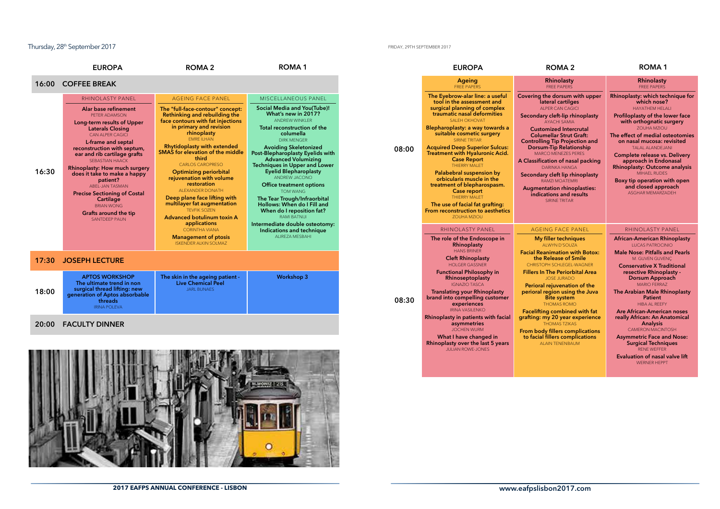### Thursday, 28th September 2017

#### FRIDAY, 29TH SEPTEMBER 2017

|       | <b>EUROPA</b>                                                                                                                                                                                                                                                                                                                                                                                                                                                                                        | <b>ROMA2</b>                                                                                                                                                                                                                                                                                                                                                                                                                                                                                                                                                                                | <b>ROMA1</b>                                                                                                                                                                                                                                                                                                                                                                                                                                                                                                                                                                                                   |       | <b>EUROPA</b>                                                                                                                                                                                                                                                                                                                                                                                                                                                                                                                                                                                              | <b>ROMA 2</b>                                                                                                                                                                                                                                                                                                                                                                                                                                                                                                                                               |
|-------|------------------------------------------------------------------------------------------------------------------------------------------------------------------------------------------------------------------------------------------------------------------------------------------------------------------------------------------------------------------------------------------------------------------------------------------------------------------------------------------------------|---------------------------------------------------------------------------------------------------------------------------------------------------------------------------------------------------------------------------------------------------------------------------------------------------------------------------------------------------------------------------------------------------------------------------------------------------------------------------------------------------------------------------------------------------------------------------------------------|----------------------------------------------------------------------------------------------------------------------------------------------------------------------------------------------------------------------------------------------------------------------------------------------------------------------------------------------------------------------------------------------------------------------------------------------------------------------------------------------------------------------------------------------------------------------------------------------------------------|-------|------------------------------------------------------------------------------------------------------------------------------------------------------------------------------------------------------------------------------------------------------------------------------------------------------------------------------------------------------------------------------------------------------------------------------------------------------------------------------------------------------------------------------------------------------------------------------------------------------------|-------------------------------------------------------------------------------------------------------------------------------------------------------------------------------------------------------------------------------------------------------------------------------------------------------------------------------------------------------------------------------------------------------------------------------------------------------------------------------------------------------------------------------------------------------------|
| 16:00 | <b>COFFEE BREAK</b>                                                                                                                                                                                                                                                                                                                                                                                                                                                                                  |                                                                                                                                                                                                                                                                                                                                                                                                                                                                                                                                                                                             |                                                                                                                                                                                                                                                                                                                                                                                                                                                                                                                                                                                                                |       | Ageing<br><b>FREE PAPERS</b>                                                                                                                                                                                                                                                                                                                                                                                                                                                                                                                                                                               | Rhinolasty<br><b>FREE PAPERS</b>                                                                                                                                                                                                                                                                                                                                                                                                                                                                                                                            |
| 16:30 | <b>RHINOLASTY PANEL</b><br>Alar base refinement<br>PETER ADAMSON<br>Long-term results of Upper<br><b>Laterals Closing</b><br><b>CAN ALPER CAGICI</b><br>L-frame and septal<br>reconstruction with septum,<br>ear and rib cartilage grafts<br><b>SEBASTIAN HAACK</b><br><b>Rhinoplasty: How much surgery</b><br>does it take to make a happy<br>patient?<br>ABEL-JAN TASMAN<br><b>Precise Sectioning of Costal</b><br>Cartilage<br><b>BRIAN WONG</b><br>Grafts around the tip<br><b>SANTDEEP PAUN</b> | <b>AGEING FACE PANEL</b><br>The "full-face-contour" concept:<br>Rethinking and rebuilding the<br>face contours with fat injections<br>in primary and revision<br>rhinoplasty<br>FMRF II HAN<br><b>Rhytidoplasty with extended</b><br><b>SMAS</b> for elevation of the middle<br>third<br><b>CARLOS CAROPRESO</b><br><b>Optimizing periorbital</b><br>rejuvenation with volume<br>restoration<br><b>ALEXANDER DONATH</b><br>Deep plane face lifting with<br>multilayer fat augmentation<br><b>TEVFIK SOZEN</b><br><b>Advanced botulinum toxin A</b><br>applications<br><b>CORINTHA VIANA</b> | <b>MISCELLANEOUS PANEL</b><br><b>Social Media and You(Tube)!</b><br>What's new in 2017?<br><b>ANDREW WINKLER</b><br>Total reconstruction of the<br>columella<br><b>DIRK MENGER</b><br><b>Avoiding Skeletonized</b><br>Post-Blepharoplasty Eyelids with<br><b>Advanced Volumizing</b><br><b>Techniques in Upper and Lower</b><br><b>Eyelid Blepharoplasty</b><br>ANDREW JACONO<br><b>Office treatment options</b><br><b>TOM WANG</b><br>The Tear Trough/Infraorbital<br>Hollows: When do I Fill and<br>When do I reposition fat?<br>RAMI BATNIJI<br>Intermediate double osteotomy:<br>Indications and technique | 08:00 | The Eyebrow-alar line: a useful<br>tool in the assessment and<br>surgical planning of complex<br>traumatic nasal deformities<br>SALEH OKHOVAT<br>Blepharoplasty: a way towards a<br>suitable cosmetic surgery<br><b>SIRINE TRITAR</b><br><b>Acquired Deep Superior Sulcus:</b><br><b>Treatment with Hyaluronic Acid.</b><br><b>Case Report</b><br>THIFRRY MAI FT<br>Palabebral suspension by<br>orbicularis muscle in the<br>treatment of blepharospasm.<br>Case report<br>THIERRY MALET<br>The use of facial fat grafting:<br>From reconstruction to aesthetics<br>ZOUHA MZIOU<br><b>RHINOLASTY PANEL</b> | Covering the dorsum with upper<br>lateral cartilges<br><b>ALPER CAN CAGICI</b><br>Secondary cleft-lip rhinoplasty<br><b>AYACHI SAMIA</b><br><b>Customized Intercrutal</b><br><b>Columellar Strut Graft:</b><br><b>Controlling Tip Projection and</b><br><b>Dorsum-Tip Relationship</b><br><b>MARCO MENEZES PERES</b><br>A Classification of nasal packing<br><b>DARINKA HANGA</b><br>Secondary cleft lip rhinoplasty<br>RAMZI MOATEMRI<br><b>Augmentation rhinoplasties:</b><br>indications and results<br><b>SIRINE TRITAR</b><br><b>AGEING FACE PANEL</b> |
|       |                                                                                                                                                                                                                                                                                                                                                                                                                                                                                                      | <b>Management of ptosis</b><br><b>ISKENDER ALKIN SOLMAZ</b>                                                                                                                                                                                                                                                                                                                                                                                                                                                                                                                                 | ALIREZA MESBAHI                                                                                                                                                                                                                                                                                                                                                                                                                                                                                                                                                                                                |       | The role of the Endoscope in<br>Rhinoplasty<br><b>HANS BRINER</b>                                                                                                                                                                                                                                                                                                                                                                                                                                                                                                                                          | My filler techniques<br>ALWYN D'SOUZA                                                                                                                                                                                                                                                                                                                                                                                                                                                                                                                       |
| 17:30 | <b>JOSEPH LECTURE</b>                                                                                                                                                                                                                                                                                                                                                                                                                                                                                |                                                                                                                                                                                                                                                                                                                                                                                                                                                                                                                                                                                             |                                                                                                                                                                                                                                                                                                                                                                                                                                                                                                                                                                                                                |       | <b>Cleft Rhinoplasty</b><br><b>HOLGER GASSNER</b>                                                                                                                                                                                                                                                                                                                                                                                                                                                                                                                                                          | <b>Facial Reanimation with Botox:</b><br>the Release of Smile<br>CHRISTOPH SCHLEGEL-WAGNER                                                                                                                                                                                                                                                                                                                                                                                                                                                                  |
| 18:00 | <b>APTOS WORKSHOP</b><br>The ultimate trend in non<br>surgical thread lifting: new<br>generation of Aptos absorbable<br>threads<br><b>IRINA POLEVA</b>                                                                                                                                                                                                                                                                                                                                               | The skin in the ageing patient -<br><b>Live Chemical Peel</b><br><b>JARL BUNAES</b>                                                                                                                                                                                                                                                                                                                                                                                                                                                                                                         | <b>Workshop 3</b>                                                                                                                                                                                                                                                                                                                                                                                                                                                                                                                                                                                              | 08:30 | <b>Functional Philosophy in</b><br>Rhinoseptoplasty<br><b>IGNAZIO TASCA</b><br><b>Translating your Rhinoplasty</b><br>brand into compelling customer<br>experiences<br><b>IRINA VASILENKO</b>                                                                                                                                                                                                                                                                                                                                                                                                              | <b>Fillers In The Periorbital Area</b><br><b>JOSE JURADO</b><br>Perioral rejuvenation of the<br>perioral region using the Juva<br><b>Bite system</b><br><b>THOMAS ROMO</b><br><b>Facelifting combined with fat</b>                                                                                                                                                                                                                                                                                                                                          |
| 20:00 | <b>FACULTY DINNER</b>                                                                                                                                                                                                                                                                                                                                                                                                                                                                                |                                                                                                                                                                                                                                                                                                                                                                                                                                                                                                                                                                                             |                                                                                                                                                                                                                                                                                                                                                                                                                                                                                                                                                                                                                |       | Rhinoplasty in patients with facial<br>asymmetries                                                                                                                                                                                                                                                                                                                                                                                                                                                                                                                                                         | grafting: my 20 year experience<br><b>THOMAS TZIKAS</b>                                                                                                                                                                                                                                                                                                                                                                                                                                                                                                     |



|       | <b>EUROPA</b>                                                                                                                                                                                                                                                                                                                                                                                                                                                                                                                                                                                                      | <b>ROMA 2</b>                                                                                                                                                                                                                                                                                                                                                                                                                                                                                                                             | <b>ROMA1</b>                                                                                                                                                                                                                                                                                                                                                                                                                                                                                                                                                                         |
|-------|--------------------------------------------------------------------------------------------------------------------------------------------------------------------------------------------------------------------------------------------------------------------------------------------------------------------------------------------------------------------------------------------------------------------------------------------------------------------------------------------------------------------------------------------------------------------------------------------------------------------|-------------------------------------------------------------------------------------------------------------------------------------------------------------------------------------------------------------------------------------------------------------------------------------------------------------------------------------------------------------------------------------------------------------------------------------------------------------------------------------------------------------------------------------------|--------------------------------------------------------------------------------------------------------------------------------------------------------------------------------------------------------------------------------------------------------------------------------------------------------------------------------------------------------------------------------------------------------------------------------------------------------------------------------------------------------------------------------------------------------------------------------------|
|       | <b>Ageing</b><br><b>FREE PAPERS</b>                                                                                                                                                                                                                                                                                                                                                                                                                                                                                                                                                                                | Rhinolasty<br><b>FREE PAPERS</b>                                                                                                                                                                                                                                                                                                                                                                                                                                                                                                          | Rhinolasty<br><b>FREE PAPERS</b>                                                                                                                                                                                                                                                                                                                                                                                                                                                                                                                                                     |
| 08:00 | The Eyebrow-alar line: a useful<br>tool in the assessment and<br>surgical planning of complex<br>traumatic nasal deformities<br><b>SAI FH OKHOVAT</b><br>Blepharoplasty: a way towards a<br>suitable cosmetic surgery<br><b>SIRINE TRITAR</b><br><b>Acquired Deep Superior Sulcus:</b><br><b>Treatment with Hyaluronic Acid.</b><br><b>Case Report</b><br><b>THIERRY MALET</b><br>Palabebral suspension by<br>orbicularis muscle in the<br>treatment of blepharospasm.<br>Case report<br><b>THIERRY MALET</b><br>The use of facial fat grafting:<br><b>From reconstruction to aesthetics</b><br><b>ZOUHA MZIOU</b> | Covering the dorsum with upper<br>lateral cartilges<br><b>ALPER CAN CAGICI</b><br>Secondary cleft-lip rhinoplasty<br><b>AYACHI SAMIA</b><br><b>Customized Intercrutal</b><br><b>Columellar Strut Graft:</b><br><b>Controlling Tip Projection and</b><br><b>Dorsum-Tip Relationship</b><br>MARCO MENEZES PERES<br>A Classification of nasal packing<br><b>DARINKA HANGA</b><br>Secondary cleft lip rhinoplasty<br>RAMZI MOATEMRI<br><b>Augmentation rhinoplasties:</b><br>indications and results<br><b>SIRINE TRITAR</b>                  | Rhinoplasty: which technique for<br>which nose?<br><b>HAYATHEM HELALI</b><br>Profiloplasty of the lower face<br>with orthognatic surgery<br><b>ZOUHA MZIOU</b><br>The effect of medial osteotomies<br>on nasal mucosa: revisited<br><b>TALAL ALANDEJANI</b><br>Complete release vs. Delivery<br>approach in Endonasal<br><b>Rhinoplasty: Outcome analysis</b><br><b>MIHAEL RUDES</b><br>Boxy tip operation with open<br>and closed approach<br>ASGHAR MEMARZADEH                                                                                                                     |
|       | RHINOLASTY PANEL                                                                                                                                                                                                                                                                                                                                                                                                                                                                                                                                                                                                   | <b>AGEING FACE PANEL</b>                                                                                                                                                                                                                                                                                                                                                                                                                                                                                                                  | <b>RHINOLASTY PANEL</b>                                                                                                                                                                                                                                                                                                                                                                                                                                                                                                                                                              |
| 08:30 | The role of the Endoscope in<br>Rhinoplasty<br><b>HANS BRINER</b><br><b>Cleft Rhinoplasty</b><br><b>HOLGER GASSNER</b><br><b>Functional Philosophy in</b><br><b>Rhinoseptoplasty</b><br><b>IGNAZIO TASCA</b><br><b>Translating your Rhinoplasty</b><br>brand into compelling customer<br>experiences<br><b>IRINA VASILENKO</b><br>Rhinoplasty in patients with facial<br>asymmetries<br><b>JOCHEN WURM</b><br>What I have changed in<br>Rhinoplasty over the last 5 years<br><b>JULIAN ROWE-JONES</b>                                                                                                              | <b>My filler techniques</b><br><b>ALWYN D'SOUZA</b><br><b>Facial Reanimation with Botox:</b><br>the Release of Smile<br>CHRISTOPH SCHLEGEL-WAGNER<br><b>Fillers In The Periorbital Area</b><br><b>JOSE JURADO</b><br>Perioral rejuvenation of the<br>perioral region using the Juva<br><b>Bite system</b><br><b>THOMAS ROMO</b><br><b>Facelifting combined with fat</b><br>grafting: my 20 year experience<br><b>THOMAS TZIKAS</b><br><b>From body fillers complications</b><br>to facial fillers complications<br><b>ALAIN TENENBAUM</b> | <b>African-American Rhinoplasty</b><br><b>LUCAS PATROCINIO</b><br><b>Male Nose: Pitfalls and Pearls</b><br>M. GUVEN GUVENC<br><b>Conservative X Traditional</b><br>resective Rhinoplasty -<br>Dorsum Approach<br><b>MARIO FERRAZ</b><br>The Arabian Male Rhinoplasty<br><b>Patient</b><br><b>HIBA AL REEFY</b><br><b>Are African-American noses</b><br>really African: An Anatomical<br>Analysis<br><b>CAMERON MACINTOSH</b><br><b>Asymmetric Face and Nose:</b><br><b>Surgical Techniques</b><br><b>RENE WEFFER</b><br><b>Evaluation of nasal valve lift</b><br><b>WERNER HEPPT</b> |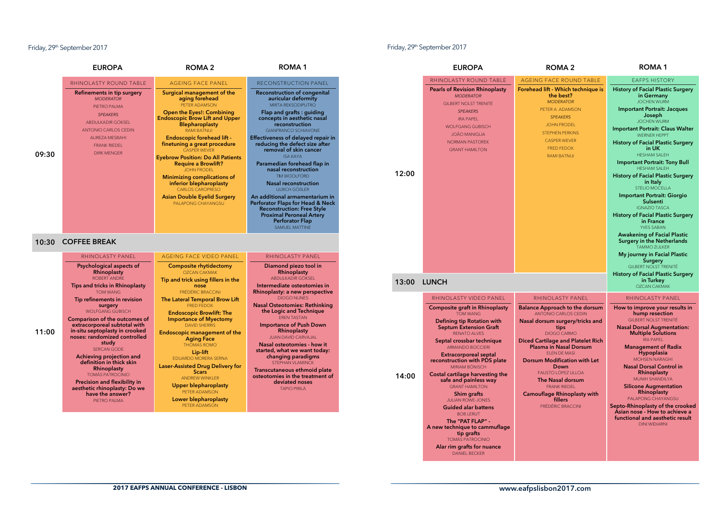### Friday, 29th September 2017

### Friday, 29th September 2017

|       | <b>EUROPA</b>                                                                                                                                                                                                                                                                        | ROMA <sub>2</sub>                                                                                                                                                                                                                                                                 | <b>ROMA1</b>                                                                                                                                                                                                                                                                               |
|-------|--------------------------------------------------------------------------------------------------------------------------------------------------------------------------------------------------------------------------------------------------------------------------------------|-----------------------------------------------------------------------------------------------------------------------------------------------------------------------------------------------------------------------------------------------------------------------------------|--------------------------------------------------------------------------------------------------------------------------------------------------------------------------------------------------------------------------------------------------------------------------------------------|
|       | <b>RHINOLASTY ROUND TABLE</b>                                                                                                                                                                                                                                                        | <b>AGEING FACE PANEL</b>                                                                                                                                                                                                                                                          | <b>RECONSTRUCTION PANEL</b>                                                                                                                                                                                                                                                                |
|       | Refinements in tip surgery<br><b>MODERATOR</b><br>PIETRO PALMA                                                                                                                                                                                                                       | Surgical management of the<br>aging forehead<br>PETER ADAMSON                                                                                                                                                                                                                     | <b>Reconstruction of congenital</b><br>auricular deformity<br>MIRTA REKSODIPUTRO                                                                                                                                                                                                           |
|       | <b>SPEAKERS</b><br>ABDULKADIR GÖKSEL<br><b>ANTONIO CARLOS CEDIN</b>                                                                                                                                                                                                                  | <b>Open the Eyes!: Combining</b><br><b>Endoscopic Brow Lift and Upper</b><br><b>Blepharoplasty</b><br><b>RAMI BATNIJI</b>                                                                                                                                                         | Flap and grafts : guiding<br>concepts in aesthetic nasal<br>reconstruction<br><b>GIANFRANCO SCHIAVONE</b>                                                                                                                                                                                  |
| 09:30 | <b>ALIREZA MESBAHI</b><br><b>FRANK RIEDEL</b><br><b>DIRK MENGER</b>                                                                                                                                                                                                                  | <b>Endoscopic forehead lift -</b><br>finetuning a great procedure<br><b>CASPER WEVER</b>                                                                                                                                                                                          | <b>Effectiveness of delayed repair in</b><br>reducing the defect size after<br>removal of skin cancer<br><b>ISA KAYA</b>                                                                                                                                                                   |
|       |                                                                                                                                                                                                                                                                                      | <b>Eyebrow Position: Do All Patients</b><br><b>Require a Browlift?</b><br><b>JOHN FRODEL</b><br><b>Minimizing complications of</b>                                                                                                                                                | Paramedian forehead flap in<br>nasal reconstruction<br><b>TIM WOOI FORD</b>                                                                                                                                                                                                                |
|       |                                                                                                                                                                                                                                                                                      | inferior blepharoplasty<br><b>CARLOS CAROPRESO</b>                                                                                                                                                                                                                                | <b>Nasal reconstruction</b><br>UI RICH GÖßLER                                                                                                                                                                                                                                              |
|       |                                                                                                                                                                                                                                                                                      | <b>Asian Double Eyelid Surgery</b><br>PALAPONG CHAYANGSU                                                                                                                                                                                                                          | An additional armamentarium in<br>Perforator Flaps for Head & Neck<br><b>Reconstruction: Free Style</b><br><b>Proximal Peroneal Artery</b><br><b>Perforator Flap</b>                                                                                                                       |
|       |                                                                                                                                                                                                                                                                                      |                                                                                                                                                                                                                                                                                   | SAMUEL MATTINE                                                                                                                                                                                                                                                                             |
| 10:30 | <b>COFFEE BREAK</b><br><b>RHINOLASTY PANEL</b>                                                                                                                                                                                                                                       | <b>AGEING FACE VIDEO PANEL</b>                                                                                                                                                                                                                                                    | RHINOLASTY PANEL                                                                                                                                                                                                                                                                           |
| 11:00 | Psychological aspects of<br>Rhinoplasty<br>ROBERT ANDRE<br>Tips and tricks in Rhinoplasty<br><b>TOM WANG</b><br>Tip refinements in revision<br>surgery<br><b>WOLFGANG GUBISCH</b><br>Comparison of the outcomes of<br>extracorporeal subtotal with<br>in-situ septoplasty in crooked | <b>Composite rhytidectomy</b><br><b>OZCAN CAKMAK</b><br>Tip and trick using fillers in the<br>nose<br><b>FRÉDÉRIC BRACCINI</b><br>The Lateral Temporal Brow Lift<br><b>FRED FEDOK</b><br><b>Endoscopic Browlift: The</b><br><b>Importance of Myectomy</b><br><b>DAVID SHERRIS</b> | Diamond piezo tool in<br>Rhinoplasty<br>ABDULKADIR GÖKSEL<br>Intermediate osteotomies in<br>Rhinoplasty: a new perspective<br><b>DIOGO NUNES</b><br><b>Nasal Osteotomies: Rethinking</b><br>the Logic and Technique<br><b>FREN TASTAN</b><br><b>Importance of Push Down</b><br>Rhinoplasty |
|       | noses: randomized controlled<br>studv<br><b>SERCAN GODE</b><br>Achieving projection and                                                                                                                                                                                              | <b>Endoscopic management of the</b><br><b>Aging Face</b><br><b>THOMAS ROMO</b><br>Lip-lift<br><b>EDUARDO MORERA SERNA</b>                                                                                                                                                         | <b>JUAN DAVID CARVAJAL</b><br>Nasal osteotomies - how it<br>started, what we want today:<br>changing paradigms                                                                                                                                                                             |
|       | definition in thick skin<br>Rhinoplasty<br><b>TOMÁS PATROCINIO</b><br><b>Precision and flexibility in</b><br>aesthetic rhinoplasty: Do we                                                                                                                                            | <b>Laser-Assisted Drug Delivery for</b><br><b>Scars</b><br><b>ANDREW WINKLER</b><br><b>Upper blepharoplasty</b>                                                                                                                                                                   | STEPHAN VLAMINCK<br>Transcutaneous ethmoid plate<br>osteotomies in the treatment of<br>deviated noses<br><b>TAPIO PIRILÄ</b>                                                                                                                                                               |

| <b>EUROPA</b>                                                                                                                                                                                                                                                                                                                                                                      | <b>ROMA 2</b>                                                                                                                                                                                                                                                                                                                                                                                                                                                                                                                                  | ROMA <sub>1</sub>                                                                                                                                                                                                                                                                                                                                                                                                                                                                                                                                                                                                              |             | <b>EUROPA</b>                                                                                                                                                                                                                                                                                                                                                                                                                                                                                                                                                                                                                                                           | <b>ROMA2</b>                                                                                                                                                                                                                                                                                                                                                                                                                                                      | <b>ROMA1</b>                                                                                                                                                                                                                                                                                                                                                                                                                                                                                                                                                                 |
|------------------------------------------------------------------------------------------------------------------------------------------------------------------------------------------------------------------------------------------------------------------------------------------------------------------------------------------------------------------------------------|------------------------------------------------------------------------------------------------------------------------------------------------------------------------------------------------------------------------------------------------------------------------------------------------------------------------------------------------------------------------------------------------------------------------------------------------------------------------------------------------------------------------------------------------|--------------------------------------------------------------------------------------------------------------------------------------------------------------------------------------------------------------------------------------------------------------------------------------------------------------------------------------------------------------------------------------------------------------------------------------------------------------------------------------------------------------------------------------------------------------------------------------------------------------------------------|-------------|-------------------------------------------------------------------------------------------------------------------------------------------------------------------------------------------------------------------------------------------------------------------------------------------------------------------------------------------------------------------------------------------------------------------------------------------------------------------------------------------------------------------------------------------------------------------------------------------------------------------------------------------------------------------------|-------------------------------------------------------------------------------------------------------------------------------------------------------------------------------------------------------------------------------------------------------------------------------------------------------------------------------------------------------------------------------------------------------------------------------------------------------------------|------------------------------------------------------------------------------------------------------------------------------------------------------------------------------------------------------------------------------------------------------------------------------------------------------------------------------------------------------------------------------------------------------------------------------------------------------------------------------------------------------------------------------------------------------------------------------|
| <b>ASTY ROUND TABLE</b>                                                                                                                                                                                                                                                                                                                                                            | <b>AGEING FACE PANEL</b>                                                                                                                                                                                                                                                                                                                                                                                                                                                                                                                       | <b>RECONSTRUCTION PANEL</b>                                                                                                                                                                                                                                                                                                                                                                                                                                                                                                                                                                                                    |             | RHINOLASTY ROUND TABLE                                                                                                                                                                                                                                                                                                                                                                                                                                                                                                                                                                                                                                                  | AGEING FACE ROUND TABLE                                                                                                                                                                                                                                                                                                                                                                                                                                           | <b>EAFPS HISTORY</b>                                                                                                                                                                                                                                                                                                                                                                                                                                                                                                                                                         |
| nents in tip surgery<br><b>MODERATOR</b><br>PIETRO PALMA<br><b>SPEAKERS</b><br><b>DULKADIR GÖKSEL</b><br><b>DNIO CARLOS CEDIN</b><br>LIREZA MESBAHI<br><b>FRANK RIEDEL</b><br><b>DIRK MENGER</b>                                                                                                                                                                                   | Surgical management of the<br>aging forehead<br>PETER ADAMSON<br><b>Open the Eyes!: Combining</b><br><b>Endoscopic Brow Lift and Upper</b><br><b>Blepharoplasty</b><br><b>RAMI BATNIJI</b><br><b>Endoscopic forehead lift -</b><br>finetuning a great procedure<br><b>CASPER WEVER</b><br><b>Eyebrow Position: Do All Patients</b><br><b>Require a Browlift?</b><br><b>JOHN FRODEL</b><br><b>Minimizing complications of</b><br>inferior blepharoplasty<br><b>CARLOS CAROPRESO</b><br><b>Asian Double Eyelid Surgery</b><br>PALAPONG CHAYANGSU | <b>Reconstruction of congenital</b><br>auricular deformity<br><b>MIRTA REKSODIPUTRO</b><br>Flap and grafts : guiding<br>concepts in aesthetic nasal<br>reconstruction<br><b>GIANFRANCO SCHIAVONE</b><br>Effectiveness of delayed repair in<br>reducing the defect size after<br>removal of skin cancer<br><b>ISA KAYA</b><br>Paramedian forehead flap in<br>nasal reconstruction<br><b>TM WOOLFORD</b><br><b>Nasal reconstruction</b><br><b>ULRICH GÖBLER</b><br>An additional armamentarium in<br>Perforator Flaps for Head & Neck<br><b>Reconstruction: Free Style</b><br><b>Proximal Peroneal Artery</b><br>Perforator Flap | 12:00       | <b>Pearls of Revision Rhinoplasty</b><br><b>MODERATOR</b><br><b>GILBERT NOLST TRENITÉ</b><br><b>SPEAKERS</b><br><b>IRA PAPEL</b><br><b>WOLFGANG GUBISCH</b><br><b>JOÃO MANIGLIA</b><br><b>NORMAN PASTOREK</b><br><b>GRANT HAMILTON</b>                                                                                                                                                                                                                                                                                                                                                                                                                                  | Forehead lift - Which technique is<br>the best?<br><b>MODERATOR</b><br>PETER A. ADAMSON<br><b>SPEAKERS</b><br><b>JOHN FRODEL</b><br><b>STEPHEN PERKINS</b><br><b>CASPER WEVER</b><br><b>FRED FEDOK</b><br><b>RAMI BATNIJI</b>                                                                                                                                                                                                                                     | <b>History of Facial Plastic Surgery</b><br>in Germany<br><b>JOCHEN WURM</b><br><b>Important Portrait: Jacques</b><br>Joseph<br><b>JOCHEN WURM</b><br><b>Important Portrait: Claus Walter</b><br><b>WERNER HEPPT</b><br><b>History of Facial Plastic Surgery</b><br>in UK<br><b>HESHAM SALEH</b><br><b>Important Portrait: Tony Bull</b><br><b>HESHAM SALEH</b><br><b>History of Facial Plastic Surgery</b><br>in Italy<br>STELIO MOCELLA<br><b>Important Portrait: Giorgio</b><br>Sulsenti<br><b>IGNAZIO TASCA</b><br><b>History of Facial Plastic Surgery</b><br>in France |
| <b>BREAK</b><br><b>JOLASTY PANEL</b><br>plogical aspects of<br>Rhinoplasty<br><b>ROBERT ANDRE</b><br>tricks in Rhinoplasty                                                                                                                                                                                                                                                         | <b>AGEING FACE VIDEO PANEL</b><br><b>Composite rhytidectomy</b><br><b>OZCAN CAKMAK</b><br>Tip and trick using fillers in the<br>nose                                                                                                                                                                                                                                                                                                                                                                                                           | <b>SAMUEL MATTINE</b><br>RHINOLASTY PANEL<br>Diamond piezo tool in<br>Rhinoplasty<br>ABDULKADIR GÖKSEL<br>Intermediate osteotomies in                                                                                                                                                                                                                                                                                                                                                                                                                                                                                          | 13:00 LUNCH |                                                                                                                                                                                                                                                                                                                                                                                                                                                                                                                                                                                                                                                                         |                                                                                                                                                                                                                                                                                                                                                                                                                                                                   | <b>YVES SABAN</b><br><b>Awakening of Facial Plastic</b><br><b>Surgery in the Netherlands</b><br><b>TAMMO ZIJLKER</b><br>My journey in Facial Plastic<br>Surgery<br><b>GILBERT NOLST TRENITÉ</b><br><b>History of Facial Plastic Surgery</b><br>in Turkey<br><b>OZCAN CAKMAK</b>                                                                                                                                                                                                                                                                                              |
| <b>TOM WANG</b><br>nements in revision<br>surgery<br><b>ILFGANG GUBISCH</b><br>on of the outcomes of<br>poreal subtotal with<br>ptoplasty in crooked<br>ndomized controlled<br>study<br><b>SERCAN GODE</b><br>ing projection and<br>ition in thick skin<br>Rhinoplasty<br><b>MÁS PATROCINIO</b><br>on and flexibility in<br>c rhinoplasty: Do we<br>ve the answer?<br>PIETRO PALMA | FRÉDÉRIC BRACCINI<br>The Lateral Temporal Brow Lift<br><b>FRED FEDOK</b><br><b>Endoscopic Browlift: The</b><br><b>Importance of Myectomy</b><br><b>DAVID SHERRIS</b><br><b>Endoscopic management of the</b><br><b>Aging Face</b><br><b>THOMAS ROMO</b><br>Lip-lift<br>EDUARDO MORERA SERNA<br><b>Laser-Assisted Drug Delivery for</b><br><b>Scars</b><br><b>ANDREW WINKLER</b><br><b>Upper blepharoplasty</b><br>PETER ADAMSON<br>Lower blepharoplasty<br>PETER ADAMSON                                                                        | Rhinoplasty: a new perspective<br><b>DIOGO NUNES</b><br><b>Nasal Osteotomies: Rethinking</b><br>the Logic and Technique<br><b>EREN TASTAN</b><br><b>Importance of Push Down</b><br>Rhinoplasty<br><b>JUAN DAVID CARVAJAL</b><br>Nasal osteotomies - how it<br>started, what we want today:<br>changing paradigms<br><b>STEPHAN VLAMINCK</b><br>Transcutaneous ethmoid plate<br>osteotomies in the treatment of<br>deviated noses<br><b>TAPIO PIRILÄ</b>                                                                                                                                                                        | 14:00       | RHINOLASTY VIDEO PANEL<br><b>Composite graft in Rhinoplasty</b><br><b>TOM WANG</b><br><b>Defining tip Rotation with</b><br><b>Septum Extension Graft</b><br><b>RENATO ALVES</b><br>Septal crossbar technique<br><b>ARMANDO BOCCIERI</b><br><b>Extracorporeal septal</b><br>reconstruction with PDS plate<br><b>MIRIAM BÖNISCH</b><br>Costal cartilage harvesting the<br>safe and painless way<br><b>GRANT HAMILTON</b><br>Shim grafts<br><b>JULIAN ROWE-JONES</b><br><b>Guided alar battens</b><br><b>BOB LERUT</b><br>The "PAT FLAP" -<br>A new technique to cammuflage<br>tip grafts<br><b>TOMÁS PATROCINIO</b><br>Alar rim grafts for nuance<br><b>DANIEL BECKER</b> | <b>RHINOLASTY PANEL</b><br><b>Balance Approach to the dorsum</b><br><b>ANTONIO CARLOS CEDIN</b><br>Nasal dorsum surgery/tricks and<br>tips<br><b>DIOGO CARMO</b><br><b>Diced Cartilage and Platelet Rich</b><br><b>Plasma in Nasal Dorsum</b><br><b>ELEN DE MASI</b><br><b>Dorsum Modification with Let</b><br>Down<br>FAUSTO LÓPEZ ULLOA<br>The Nasal dorsum<br><b>FRANK RIEDEL</b><br><b>Camouflage Rhinoplasty with</b><br>fillers<br><b>FRÉDÉRIC BRACCINI</b> | <b>RHINOLASTY PANEL</b><br>How to improve your results in<br>hump resection<br><b>GILBERT NOLST TRENITÉ</b><br><b>Nasal Dorsal Augmentation:</b><br><b>Multiple Solutions</b><br><b>IRA PAPEL</b><br><b>Management of Radix</b><br><b>Hypoplasia</b><br><b>MOHSEN NARAGHI</b><br><b>Nasal Dorsal Control in</b><br>Rhinoplasty<br>MUNIH SHANDILYA<br><b>Silicone Augmentation</b><br>Rhinoplasty<br>PALAPONG CHAYANGSU<br>Septo-Rhinoplasty of the crooked<br>Asian nose - How to achieve a<br>functional and aesthetic result<br><b>DINI WIDIARNI</b>                       |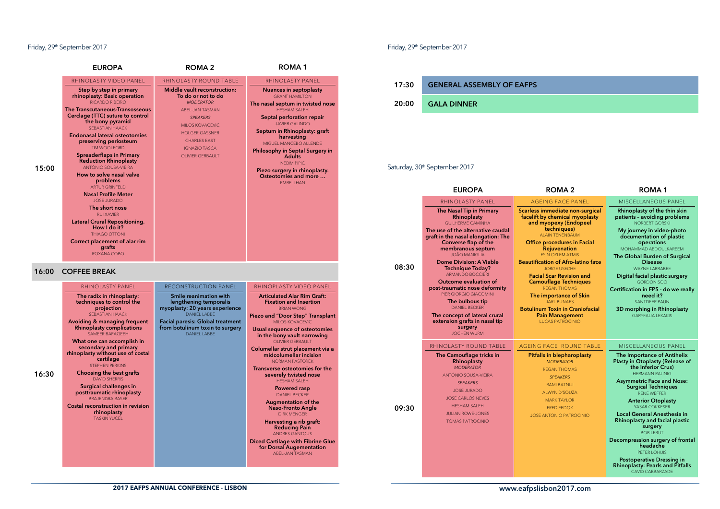### Friday, 29<sup>th</sup> September 2017 **Friday, 29th September 2017**

| RHINOLASTY VIDEO PANEL<br>RHINOLASTY ROUND TABLE<br>RHINOLASTY PANEL<br>Step by step in primary<br><b>Middle vault reconstruction:</b><br><b>Nuances in septoplasty</b><br>rhinoplasty: Basic operation<br>To do or not to do<br><b>GRANT HAMILTON</b><br><b>RICARDO RIBEIRO</b><br><b>MODERATOR</b><br>The nasal septum in twisted nose<br>The Transcutaneous-Transosseous<br><b>HESHAM SALEH</b><br>ABEL-JAN TASMAN<br>Cerclage (TTC) suture to control<br>Septal perforation repair<br><b>SPEAKERS</b><br>the bony pyramid<br><b>JAVIER GALINDO</b><br><b>MILOS KOVACEVIC</b><br><b>SEBASTIAN HAACK</b><br>Septum in Rhinoplasty: graft<br><b>HOLGER GASSNER</b><br><b>Endonasal lateral osteotomies</b><br>harvesting<br><b>CHARLES EAST</b><br>preserving periosteum<br>MIGUEL MANCEBO ALLENDE<br><b>TM WOOLFORD</b><br><b>IGNAZIO TASCA</b><br>Philosophy in Septal Surgery in<br><b>Spreaderflaps in Primary</b><br><b>OLIVIER GERBAULT</b><br><b>Adults</b><br><b>Reduction Rhinoplasty</b><br><b>NEDM PIPIC</b><br>ANTÓNIO SOUSA-VIEIRA<br>15:00<br>Piezo surgery in rhinoplasty.<br>How to solve nasal valve<br>Osteotomies and more<br>problems<br><b>EMRE ILHAN</b><br><b>ARTUR GRINFELD</b><br><b>Nasal Profile Meter</b><br><b>JOSE JURADO</b><br>The short nose<br><b>RUI XAVIER</b><br><b>Lateral Crural Repositioning.</b><br>How I do it?<br>THIAGO OTTONI<br>Correct placement of alar rim<br>grafts<br>ROXANA COBO<br>16:00<br><b>COFFEE BREAK</b><br>RECONSTRUCTION PANEL<br>RHINOLASTY PANEL<br>RHINOPLASTY VIDEO PANEL<br><b>Articulated Alar Rim Graft:</b><br>The radix in rhinoplasty:<br>Smile reanimation with<br><b>Fixation and Insertion</b><br>techniques to control the<br>lengthening temporalis<br>projection<br>myoplasty: 20 years experience<br><b>BRIAN WONG</b><br><b>SEBASTIAN HAACK</b><br><b>DANIEL LABBE</b><br>Piezo and "Door Step" Transplant<br><b>Avoiding &amp; managing frequent</b><br><b>Facial paresis: Global treatment</b><br><b>MILOS KOVACEVIC</b><br><b>Rhinoplasty complications</b><br>from botulinum toxin to surgery<br><b>Usual sequence of osteotomies</b><br><b>DANIEL LABBE</b><br>SAMEER BAFAQEEH<br>in the bony vault narrowing<br>What one can accomplish in<br><b>OLIVIER GERBAULT</b><br>secondary and primary<br>Columellar strut placement via a<br>rhinoplasty without use of costal<br>midcolumellar incision<br>cartilage<br>NORMAN PASTOREK<br><b>STEPHEN PERKINS</b><br>Transverse osteotomies for the<br>Choosing the best grafts<br>16:30<br>severely twisted nose<br><b>DAVID SHERRIS</b><br><b>HESHAM SALEH</b><br>Surgical challenges in<br>Powered rasp<br>posttraumatic rhinoplasty<br><b>DANIEL BECKER</b><br><b>BRAJENDRA BASER</b><br><b>Augmentation of the</b><br><b>Costal reconstruction in revision</b><br><b>Naso-Fronto Angle</b><br>rhinoplasty<br><b>DIRK MENGER</b> |
|------------------------------------------------------------------------------------------------------------------------------------------------------------------------------------------------------------------------------------------------------------------------------------------------------------------------------------------------------------------------------------------------------------------------------------------------------------------------------------------------------------------------------------------------------------------------------------------------------------------------------------------------------------------------------------------------------------------------------------------------------------------------------------------------------------------------------------------------------------------------------------------------------------------------------------------------------------------------------------------------------------------------------------------------------------------------------------------------------------------------------------------------------------------------------------------------------------------------------------------------------------------------------------------------------------------------------------------------------------------------------------------------------------------------------------------------------------------------------------------------------------------------------------------------------------------------------------------------------------------------------------------------------------------------------------------------------------------------------------------------------------------------------------------------------------------------------------------------------------------------------------------------------------------------------------------------------------------------------------------------------------------------------------------------------------------------------------------------------------------------------------------------------------------------------------------------------------------------------------------------------------------------------------------------------------------------------------------------------------------------------------------------------------------------------------------------------------------------------------------------------------------------------------------------------------------------------------------------------------------------------------------------------------------------------------------------------------------------------------------------------------------------------------------------------------------------------------------------------------------------|
|                                                                                                                                                                                                                                                                                                                                                                                                                                                                                                                                                                                                                                                                                                                                                                                                                                                                                                                                                                                                                                                                                                                                                                                                                                                                                                                                                                                                                                                                                                                                                                                                                                                                                                                                                                                                                                                                                                                                                                                                                                                                                                                                                                                                                                                                                                                                                                                                                                                                                                                                                                                                                                                                                                                                                                                                                                                                        |
|                                                                                                                                                                                                                                                                                                                                                                                                                                                                                                                                                                                                                                                                                                                                                                                                                                                                                                                                                                                                                                                                                                                                                                                                                                                                                                                                                                                                                                                                                                                                                                                                                                                                                                                                                                                                                                                                                                                                                                                                                                                                                                                                                                                                                                                                                                                                                                                                                                                                                                                                                                                                                                                                                                                                                                                                                                                                        |
|                                                                                                                                                                                                                                                                                                                                                                                                                                                                                                                                                                                                                                                                                                                                                                                                                                                                                                                                                                                                                                                                                                                                                                                                                                                                                                                                                                                                                                                                                                                                                                                                                                                                                                                                                                                                                                                                                                                                                                                                                                                                                                                                                                                                                                                                                                                                                                                                                                                                                                                                                                                                                                                                                                                                                                                                                                                                        |

#### GENERAL ASSEMBLY OF EAFPS 17:30

#### 20:00 GALA DINNER

### Saturday, 30<sup>th</sup> September 2017

|       | <b>EUROPA</b>                                                                                                                                                                                                                                                                                                                                                                                                                                                                                                                         | <b>ROMA 2</b>                                                                                                                                                                                                                                                                                                                                                                                                                                                                                                                            | <b>ROMA1</b>                                                                                                                                                                                                                                                                                                                                                                                                                                                                                                                   |
|-------|---------------------------------------------------------------------------------------------------------------------------------------------------------------------------------------------------------------------------------------------------------------------------------------------------------------------------------------------------------------------------------------------------------------------------------------------------------------------------------------------------------------------------------------|------------------------------------------------------------------------------------------------------------------------------------------------------------------------------------------------------------------------------------------------------------------------------------------------------------------------------------------------------------------------------------------------------------------------------------------------------------------------------------------------------------------------------------------|--------------------------------------------------------------------------------------------------------------------------------------------------------------------------------------------------------------------------------------------------------------------------------------------------------------------------------------------------------------------------------------------------------------------------------------------------------------------------------------------------------------------------------|
|       | RHINOLASTY PANEL                                                                                                                                                                                                                                                                                                                                                                                                                                                                                                                      | AGFING FACE PANEL                                                                                                                                                                                                                                                                                                                                                                                                                                                                                                                        | MISCELLANEOUS PANEL                                                                                                                                                                                                                                                                                                                                                                                                                                                                                                            |
| 08:30 | The Nasal Tip in Primary<br>Rhinoplasty<br><b>GUILHERME CAMINHA</b><br>The use of the alternative caudal<br>graft in the nasal elongation: The<br>Converse flap of the<br>membranous septum<br>JOÃO MANIGHA<br><b>Dome Division: A Viable</b><br><b>Technique Today?</b><br>ARMANDO BOCCIERI<br><b>Outcome evaluation of</b><br>post-traumatic nose deformity<br>PIER GIORGIO GIACOMINI<br>The bulbous tip<br><b>DANIFI BECKER</b><br>The concept of lateral crural<br>extension grafts in nasal tip<br>surgery<br><b>JOCHEN WURM</b> | Scarless immediate non-surgical<br>facelift by chemical myoplasty<br>and myopexy (Endopeel<br>techniques)<br><b>ALAIN TENENBAUM</b><br><b>Office procedures in Facial</b><br><b>Rejuvenation</b><br><b>ESIN OZLEM ATMIS</b><br><b>Beautification of Afro-latino face</b><br><b>JORGE USECHE</b><br><b>Facial Scar Revision and</b><br><b>Camouflage Techniques</b><br><b>REGAN THOMAS</b><br>The importance of Skin<br><b>JARL BUNAES</b><br><b>Botulinum Toxin in Craniofacial</b><br><b>Pain Management</b><br><b>LUCAS PATROCINIO</b> | Rhinoplasty of the thin skin<br>patients - avoiding problems<br>NORBERT GORSKI<br>My journey in video-photo<br>documentation of plastic<br>operations<br>MOHAMMAD ABDOULKAREEM<br>The Global Burden of Surgical<br><b>Disease</b><br><b>WAYNE LARRABEE</b><br>Digital facial plastic surgery<br><b>GORDON SOO</b><br>Certification in FPS - do we really<br>need it?<br><b>SANTDEEP PAUN</b><br>3D morphing in Rhinoplasty<br><b>GARYFALIA LEKAKIS</b>                                                                         |
|       | <b>RHINOLASTY ROUND TABLE</b>                                                                                                                                                                                                                                                                                                                                                                                                                                                                                                         | <b>AGEING FACE ROUND TABLE</b>                                                                                                                                                                                                                                                                                                                                                                                                                                                                                                           | MISCELLANEOUS PANEL                                                                                                                                                                                                                                                                                                                                                                                                                                                                                                            |
| 09:30 | The Camouflage tricks in<br>Rhinoplasty<br><b>MODERATOR</b><br><b>ANTÓNIO SOUSA-VIEIRA</b><br><b>SPEAKERS</b><br><b>JOSE JURADO</b><br><b>JOSÉ CARLOS NEVES</b><br><b>HESHAM SALEH</b><br><b>JULIAN ROWE-JONES</b><br><b>TOMÁS PATROCINIO</b>                                                                                                                                                                                                                                                                                         | <b>Pitfalls in blepharoplasty</b><br><b>MODERATOR</b><br><b>REGAN THOMAS</b><br><b>SPEAKERS</b><br><b>RAMI BATNIJI</b><br><b>ALWYN D'SOUZA</b><br><b>MARK TAYLOR</b><br><b>FRED FEDOK</b><br><b>JOSE ANTONIO PATROCINIO</b>                                                                                                                                                                                                                                                                                                              | The Importance of Antihelix<br>Plasty in Otoplasty (Release of<br>the Inferior Crus)<br><b>HERMANN RAUNIG</b><br><b>Asymmetric Face and Nose:</b><br><b>Surgical Techniques</b><br><b>RENE WEFFER</b><br><b>Anterior Otoplasty</b><br>YASAR COKKESER<br>Local General Anesthesia in<br>Rhinoplasty and facial plastic<br>surgery<br><b>BOB LERUT</b><br>Decompression surgery of frontal<br>headache<br>PETER LOHUIS<br><b>Postoperative Dressing in</b><br><b>Rhinoplasty: Pearls and Pitfalls</b><br><b>CAVID CABBARZADE</b> |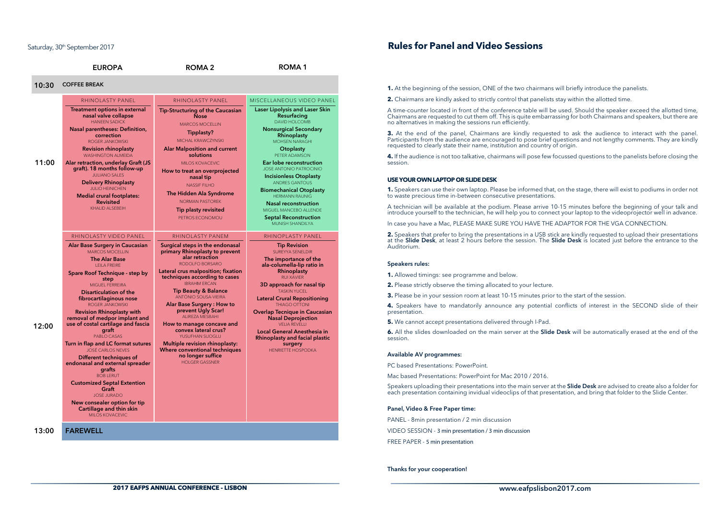### Saturday, 30<sup>th</sup> September 2017

|       | <b>EUROPA</b>                                                                                                                                                                                                                                                                                                                                                                                                                                                                                                                                                                                                                                                                                                                             | ROMA <sub>2</sub>                                                                                                                                                                                                                                                                                                                                                                                                                                                                                                                                                        | <b>ROMA1</b>                                                                                                                                                                                                                                                                                                                                                                                                                                                                                   |
|-------|-------------------------------------------------------------------------------------------------------------------------------------------------------------------------------------------------------------------------------------------------------------------------------------------------------------------------------------------------------------------------------------------------------------------------------------------------------------------------------------------------------------------------------------------------------------------------------------------------------------------------------------------------------------------------------------------------------------------------------------------|--------------------------------------------------------------------------------------------------------------------------------------------------------------------------------------------------------------------------------------------------------------------------------------------------------------------------------------------------------------------------------------------------------------------------------------------------------------------------------------------------------------------------------------------------------------------------|------------------------------------------------------------------------------------------------------------------------------------------------------------------------------------------------------------------------------------------------------------------------------------------------------------------------------------------------------------------------------------------------------------------------------------------------------------------------------------------------|
| 10:30 | <b>COFFEE BREAK</b>                                                                                                                                                                                                                                                                                                                                                                                                                                                                                                                                                                                                                                                                                                                       |                                                                                                                                                                                                                                                                                                                                                                                                                                                                                                                                                                          |                                                                                                                                                                                                                                                                                                                                                                                                                                                                                                |
|       | RHINOLASTY PANEL                                                                                                                                                                                                                                                                                                                                                                                                                                                                                                                                                                                                                                                                                                                          | RHINOLASTY PANEL                                                                                                                                                                                                                                                                                                                                                                                                                                                                                                                                                         | MISCELLANEOUS VIDEO PANEL                                                                                                                                                                                                                                                                                                                                                                                                                                                                      |
| 11:00 | <b>Treatment options in external</b><br>nasal valve collapse<br><b>HANEEN SADICK</b><br><b>Nasal parentheses: Definition,</b><br>correction<br><b>ROGER JANKOWSKI</b><br><b>Revision rhinoplasty</b><br><b>WASHINGTON ALMEIDA</b><br>Alar retraction, underlay Graft (JS<br>graft). 18 months follow-up<br><b>JULIANO SALES</b><br><b>Delivery Rhinoplasty</b><br><b>JULIO HEINICHEN</b><br><b>Medial crural footplates:</b><br><b>Revisited</b><br><b>KHALID ALSEBEIH</b>                                                                                                                                                                                                                                                                | <b>Tip-Structuring of the Caucasian</b><br><b>Nose</b><br><b>MARCOS MOCELLIN</b><br>Tipplasty?<br>MICHAL KRAWCZYNSKI<br><b>Alar Malposition and current</b><br>solutions<br><b>MILOS KOVACEVIC</b><br>How to treat an overprojected<br>nasal tip<br><b>NASSIF FILHO</b><br>The Hidden Ala Syndrome<br><b>NORMAN PASTOREK</b><br><b>Tip plasty revisited</b><br>PETROS ECONOMOU                                                                                                                                                                                           | Laser Lipolysis and Laser Skin<br>Resurfacing<br><b>DAVID HOLCOMB</b><br><b>Nonsurgical Secondary</b><br>Rhinoplasty<br><b>MOHSEN NARAGHI</b><br>Otoplasty<br>PETER ADAMSON<br>Ear lobe reconstruction<br>JOSE ANTONIO PATROCINIO<br><b>Incisionless Otoplasty</b><br><b>ANDRES GANTOUS</b><br><b>Biomechanical Otoplasty</b><br><b>HERMANN RAUNIG</b><br>Nasal reconstruction<br>MIGUEL MANCEBO ALLENDE<br><b>Septal Reconstruction</b><br><b>MUNISH SHANDILYA</b>                            |
| 12:00 | RHINOLASTY VIDEO PANEL<br>Alar Base Surgery in Caucasian<br>MARCOS MOCELLIN<br><b>The Alar Base</b><br><b>LEILA FREIRE</b><br>Spare Roof Technique - step by<br>step<br><b>MIGUEL FERREIRA</b><br>Disarticulation of the<br>fibrocartilaginous nose<br><b>ROGER JANKOWSKI</b><br><b>Revision Rhinoplasty with</b><br>removal of medpor implant and<br>use of costal cartilage and fascia<br>graft<br>PABLO CASAS<br>Turn in flap and LC format sutures<br><b>JOSÉ CARLOS NEVES</b><br>Different techniques of<br>endonasal and external spreader<br>grafts<br><b>BOB LERUT</b><br><b>Customized Septal Extention</b><br>Graft<br><b>JOSE JURADO</b><br>New consealer option for tip<br>Cartillage and thin skin<br><b>MILOS KOVACEVIC</b> | <b>RHINOLASTY PANEM</b><br>Surgical steps in the endonasal<br>primary Rhinoplasty to prevent<br>alar retraction<br>RODOLEO BORSARO<br>Lateral crus malposition; fixation<br>techniques according to cases<br><b>IBRAHM ERCAN</b><br><b>Tip Beauty &amp; Balance</b><br><b>ANTÓNIO SOUSA-VIEIRA</b><br>Alar Base Surgery: How to<br>prevent Ugly Scar!<br><b>ALIREZA MESBAHI</b><br>How to manage concave and<br>convex lateral crus?<br>YUSUFHAN SUOGLU<br>Multiple revision rhinoplasty:<br>Where conventional techniques<br>no longer suffice<br><b>HOLGER GASSNER</b> | <b>RHINOPLASTY PANEL</b><br><b>Tip Revision</b><br><b>SUREYYA SENELDIR</b><br>The importance of the<br>ala-columella-lip ratio in<br>Rhinoplasty<br><b>RUI XAVIER</b><br>3D approach for nasal tip<br><b>TASKIN YUCEL</b><br><b>Lateral Crural Repositioning</b><br>THIAGO OTTONI<br><b>Overlap Tecnique in Caucasian</b><br><b>Nasal Deprojection</b><br><b>VELIA REVELLI</b><br>Local General Anesthesia in<br><b>Rhinoplasty and facial plastic</b><br>surgery<br><b>HENRIETTE HOSPODKA</b> |
| 13:00 | <b>FAREWELL</b>                                                                                                                                                                                                                                                                                                                                                                                                                                                                                                                                                                                                                                                                                                                           |                                                                                                                                                                                                                                                                                                                                                                                                                                                                                                                                                                          |                                                                                                                                                                                                                                                                                                                                                                                                                                                                                                |

### **Rules for Panel and Video Sessions**

**1.** At the beginning of the session, ONE of the two chairmans will briefly introduce the panelists.

**2.** Chairmans are kindly asked to strictly control that panelists stay within the allotted time.

A time-counter located in front of the conference table will be used. Should the speaker exceed the allotted time,<br>Chairmans are requested to cut them off. This is quite embarrassing for both Chairmans and speakers, but th no alternatives in making the sessions run efficiently.

**3.** At the end of the panel, Chairmans are kindly requested to ask the audience to interact with the panel. Participants from the audience are encouraged to pose brief questions and not lengthy comments. They are kindly requested to clearly state their name, institution and country of origin.

**4.** If the audience is not too talkative, chairmans will pose few focussed questions to the panelists before closing the session.

#### **USE YOUR OWN LAPTOP OR SLIDE DESK**

**1.** Speakers can use their own laptop. Please be informed that, on the stage, there will exist to podiums in order not to waste precious time in-between consecutive presentations.

A technician will be available at the podium. Please arrive 10-15 minutes before the beginning of your talk and introduce yourself to the technician, he will help you to connect your laptop to the videoprojector well in advance.

In case you have a Mac, PLEASE MAKE SURE YOU HAVE THE ADAPTOR FOR THE VGA CONNECTION.

**2.** Speakers that prefer to bring the presentations in a USB stick are kindly requested to upload their presentations at the Slide Desk, at least 2 hours before the session. The Slide Desk is located just before the entrance to the Auditorium.

#### Speakers rules:

- **1.** Allowed timings: see programme and below.
- **2.** Please strictly observe the timing allocated to your lecture.
- **3.** Please be in your session room at least 10-15 minutes prior to the start of the session.

**4.** Speakers have to mandatorily announce any potential conflicts of interest in the SECOND slide of their presentation.

**5.** We cannot accept presentations delivered through I-Pad.

**6.** All the slides downloaded on the main server at the Slide Desk will be automatically erased at the end of the session.

#### Available AV programmes:

PC based Presentations: PowerPoint.

Mac based Presentations: PowerPoint for Mac 2010 / 2016.

Speakers uploading their presentations into the main server at the Slide Desk are advised to create also a folder for each presentation containing invidual videoclips of that presentation, and bring that folder to the Slide Center.

#### Panel, Video & Free Paper time:

PANEL - 8min presentation / 2 min discussion VIDEO SESSION - 3 min presentation / 3 min discussion FREE PAPER - 5 min presentation

#### Thanks for your cooperation!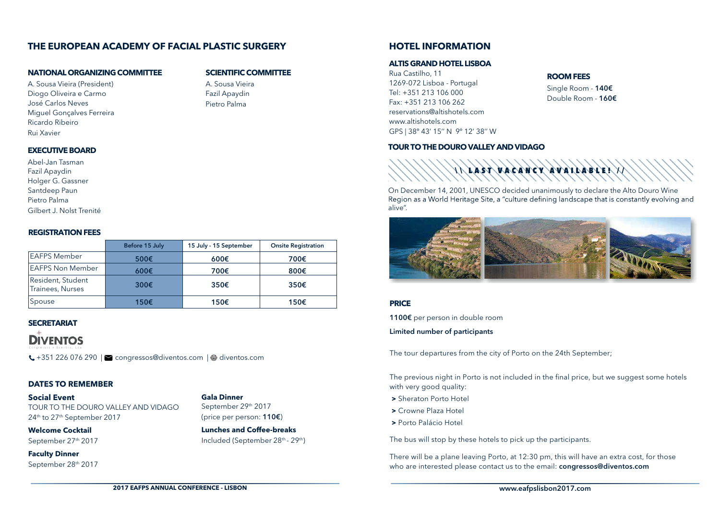## **THE EUROPEAN ACADEMY OF FACIAL PLASTIC SURGERY**

### **NATIONAL ORGANIZING COMMITTEE**

A. Sousa Vieira (President) Diogo Oliveira e Carmo José Carlos Neves Miguel Gonçalves Ferreira Ricardo Ribeiro Rui Xavier

### **SCIENTIFIC COMMITTEE**

A. Sousa Vieira Fazil Apaydin Pietro Palma

### **EXECUTIVE BOARD**

Abel-Jan Tasman Fazil Apaydin Holger G. Gassner Santdeep Paun Pietro Palma Gilbert J. Nolst Trenité

### **REGISTRATION FEES**

|                                       | Before 15 July | 15 July - 15 September | <b>Onsite Registration</b> |
|---------------------------------------|----------------|------------------------|----------------------------|
| <b>EAFPS Member</b>                   | 500€           | 600€                   | 700€                       |
| <b>EAFPS Non Member</b>               | $600 \epsilon$ | 700€                   | 800€                       |
| Resident, Student<br>Trainees, Nurses | 300€           | 350€                   | 350€                       |
| Spouse                                | 150€           | 150€                   | 150€                       |

## **SECRETARIAT DIVENTOS**

+351 226 076 290 | congressos@diventos.com | diventos.com

### **DATES TO REMEMBER**

**Social Event** TOUR TO THE DOURO VALLEY AND VIDAGO 24th to 27th September 2017

**Welcome Cocktail** September 27<sup>th</sup> 2017

**Faculty Dinner** September 28th 2017

### **Gala Dinner**

September 29th 2017 (price per person: 110€)

**Lunches and Coffee-breaks** Included (September 28th - 29th)

## **HOTEL INFORMATION**

### **ALTIS GRAND HOTEL LISBOA**

Rua Castilho, 11 1269-072 Lisboa - Portugal Tel: +351 213 106 000 Fax: +351 213 106 262 reservations@altishotels.com www.altishotels.com GPS | 38º 43' 15'' N 9º 12' 38'' W

## **ROOM FEES**

Single Room - 140€ Double Room - 160€

**TOUR TO THE DOURO VALLEY AND VIDAGO**



On December 14, 2001, UNESCO decided unanimously to declare the Alto Douro Wine Region as a World Heritage Site, a "culture defining landscape that is constantly evolving and alive".



### **PRICE**

1100€ per person in double room

Limited number of participants

The tour departures from the city of Porto on the 24th September;

The previous night in Porto is not included in the final price, but we suggest some hotels with very good quality:

- **>** Sheraton Porto Hotel
- **>** Crowne Plaza Hotel
- **>** Porto Palácio Hotel

The bus will stop by these hotels to pick up the participants.

There will be a plane leaving Porto, at 12:30 pm, this will have an extra cost, for those who are interested please contact us to the email: congressos@diventos.com